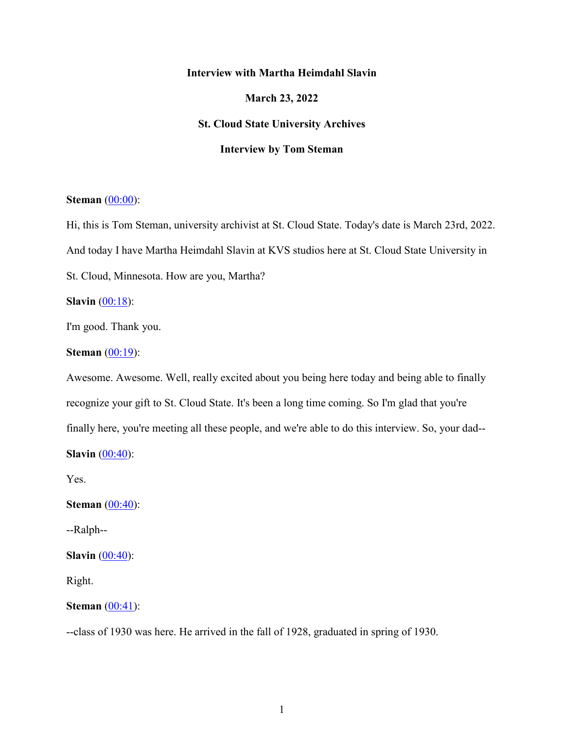## **Interview with Martha Heimdahl Slavin**

**March 23, 2022** 

## **St. Cloud State University Archives**

## **Interview by Tom Steman**

## **Steman** (00:00):

Hi, this is Tom Steman, university archivist at St. Cloud State. Today's date is March 23rd, 2022. And today I have Martha Heimdahl Slavin at KVS studios here at St. Cloud State University in St. Cloud, Minnesota. How are you, Martha?

**Slavin** (00:18):

I'm good. Thank you.

## **Steman** (00:19):

Awesome. Awesome. Well, really excited about you being here today and being able to finally recognize your gift to St. Cloud State. It's been a long time coming. So I'm glad that you're finally here, you're meeting all these people, and we're able to do this interview. So, your dad-- **Slavin** (00:40):

Yes.

**Steman** (00:40):

--Ralph--

**Slavin** (00:40):

Right.

## **Steman** (00:41):

--class of 1930 was here. He arrived in the fall of 1928, graduated in spring of 1930.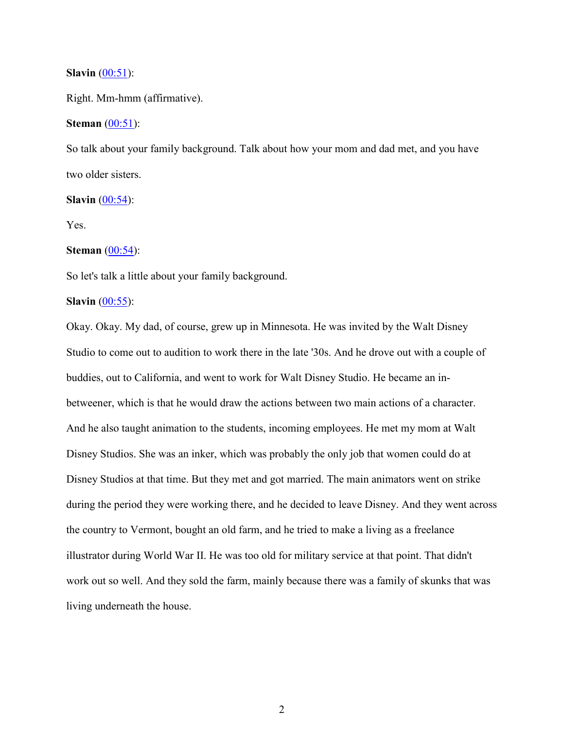#### **Slavin** (00:51):

Right. Mm-hmm (affirmative).

## **Steman** (00:51):

So talk about your family background. Talk about how your mom and dad met, and you have two older sisters.

#### **Slavin**  $(00:54)$ :

Yes.

#### **Steman** (00:54):

So let's talk a little about your family background.

#### **Slavin** (00:55):

Okay. Okay. My dad, of course, grew up in Minnesota. He was invited by the Walt Disney Studio to come out to audition to work there in the late '30s. And he drove out with a couple of buddies, out to California, and went to work for Walt Disney Studio. He became an inbetweener, which is that he would draw the actions between two main actions of a character. And he also taught animation to the students, incoming employees. He met my mom at Walt Disney Studios. She was an inker, which was probably the only job that women could do at Disney Studios at that time. But they met and got married. The main animators went on strike during the period they were working there, and he decided to leave Disney. And they went across the country to Vermont, bought an old farm, and he tried to make a living as a freelance illustrator during World War II. He was too old for military service at that point. That didn't work out so well. And they sold the farm, mainly because there was a family of skunks that was living underneath the house.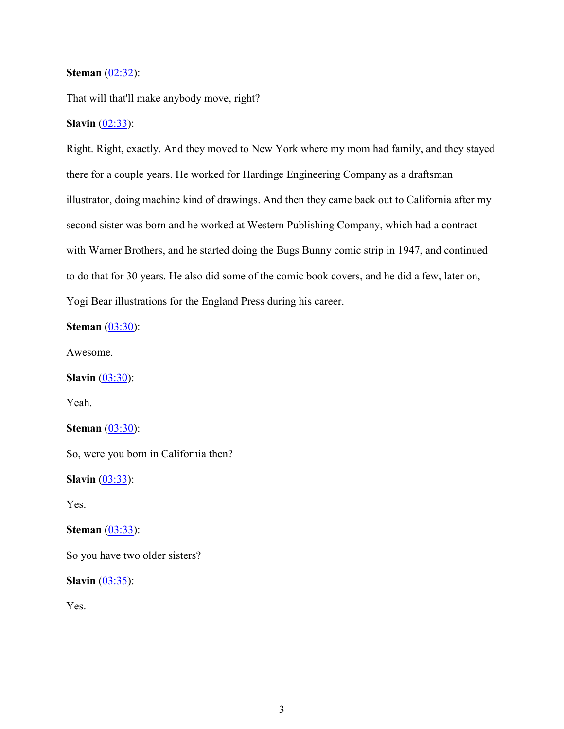## **Steman** (02:32):

That will that'll make anybody move, right?

## **Slavin** (02:33):

Right. Right, exactly. And they moved to New York where my mom had family, and they stayed there for a couple years. He worked for Hardinge Engineering Company as a draftsman illustrator, doing machine kind of drawings. And then they came back out to California after my second sister was born and he worked at Western Publishing Company, which had a contract with Warner Brothers, and he started doing the Bugs Bunny comic strip in 1947, and continued to do that for 30 years. He also did some of the comic book covers, and he did a few, later on, Yogi Bear illustrations for the England Press during his career.

**Steman** (03:30):

Awesome.

**Slavin** (03:30):

Yeah.

**Steman** (03:30):

So, were you born in California then?

**Slavin** (03:33):

Yes.

**Steman** (03:33):

So you have two older sisters?

**Slavin** (03:35):

Yes.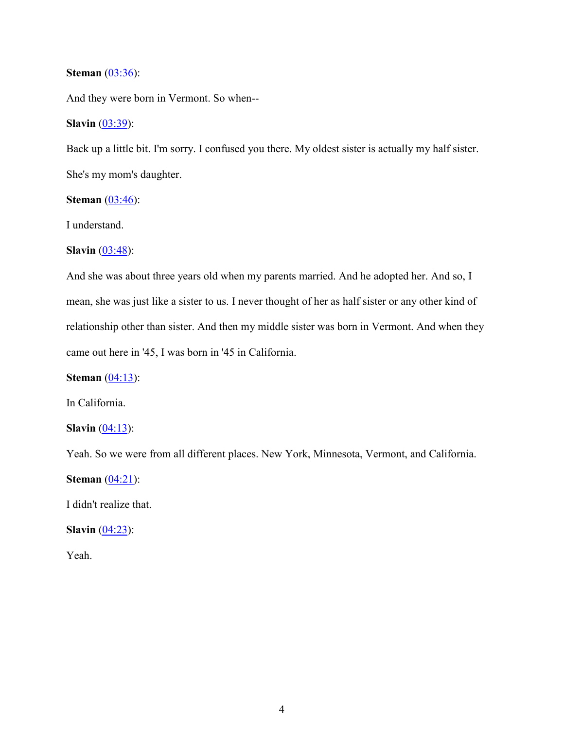### **Steman** (03:36):

And they were born in Vermont. So when--

## **Slavin** (03:39):

Back up a little bit. I'm sorry. I confused you there. My oldest sister is actually my half sister. She's my mom's daughter.

## **Steman** (03:46):

I understand.

**Slavin** (03:48):

And she was about three years old when my parents married. And he adopted her. And so, I mean, she was just like a sister to us. I never thought of her as half sister or any other kind of relationship other than sister. And then my middle sister was born in Vermont. And when they came out here in '45, I was born in '45 in California.

**Steman** (04:13):

In California.

**Slavin**  $(04:13)$ :

Yeah. So we were from all different places. New York, Minnesota, Vermont, and California.

**Steman** (04:21):

I didn't realize that.

**Slavin**  $(04:23)$ :

Yeah.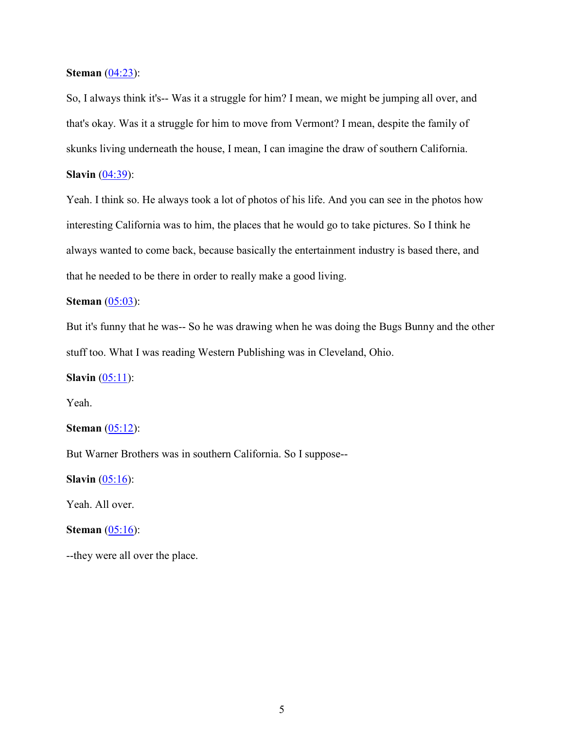### **Steman** (04:23):

So, I always think it's-- Was it a struggle for him? I mean, we might be jumping all over, and that's okay. Was it a struggle for him to move from Vermont? I mean, despite the family of skunks living underneath the house, I mean, I can imagine the draw of southern California.

**Slavin** (04:39):

Yeah. I think so. He always took a lot of photos of his life. And you can see in the photos how interesting California was to him, the places that he would go to take pictures. So I think he always wanted to come back, because basically the entertainment industry is based there, and that he needed to be there in order to really make a good living.

## **Steman** (05:03):

But it's funny that he was-- So he was drawing when he was doing the Bugs Bunny and the other stuff too. What I was reading Western Publishing was in Cleveland, Ohio.

**Slavin** (05:11):

Yeah.

**Steman** (05:12):

But Warner Brothers was in southern California. So I suppose--

**Slavin** (05:16):

Yeah. All over.

## **Steman** (05:16):

--they were all over the place.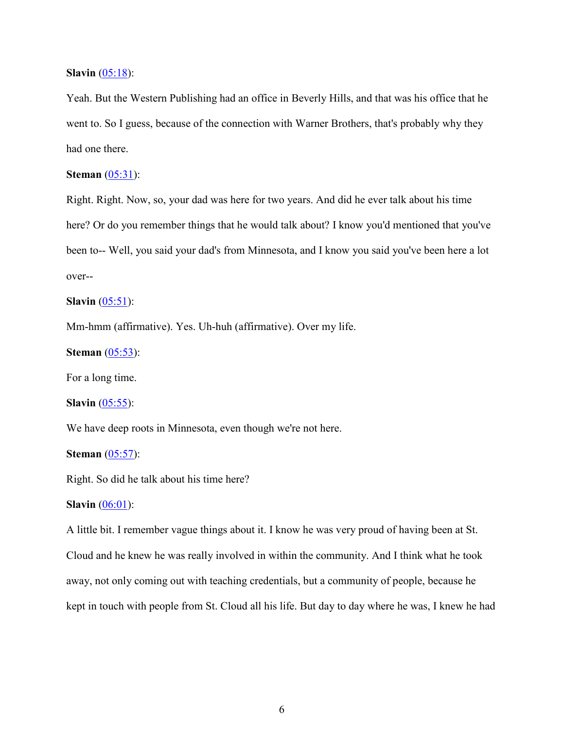#### **Slavin** (05:18):

Yeah. But the Western Publishing had an office in Beverly Hills, and that was his office that he went to. So I guess, because of the connection with Warner Brothers, that's probably why they had one there.

## **Steman** (05:31):

Right. Right. Now, so, your dad was here for two years. And did he ever talk about his time here? Or do you remember things that he would talk about? I know you'd mentioned that you've been to-- Well, you said your dad's from Minnesota, and I know you said you've been here a lot over--

**Slavin** (05:51):

Mm-hmm (affirmative). Yes. Uh-huh (affirmative). Over my life.

**Steman** (05:53):

For a long time.

**Slavin** (05:55):

We have deep roots in Minnesota, even though we're not here.

**Steman** (05:57):

Right. So did he talk about his time here?

**Slavin** (06:01):

A little bit. I remember vague things about it. I know he was very proud of having been at St. Cloud and he knew he was really involved in within the community. And I think what he took away, not only coming out with teaching credentials, but a community of people, because he kept in touch with people from St. Cloud all his life. But day to day where he was, I knew he had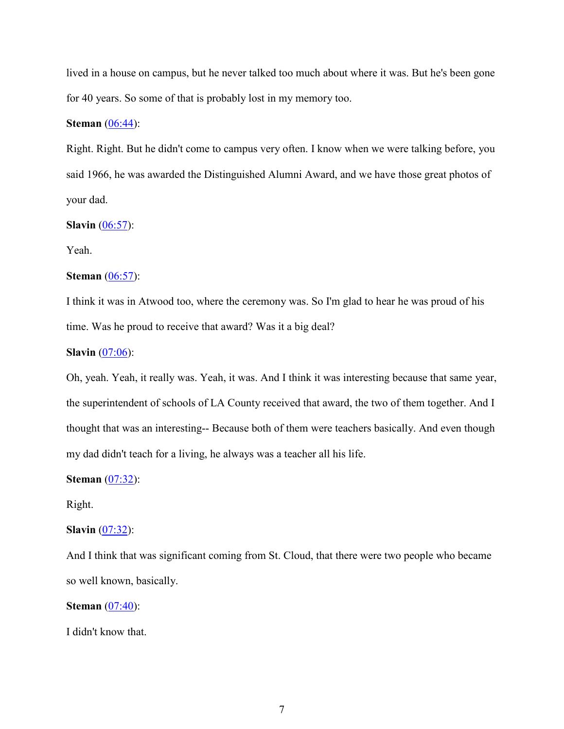lived in a house on campus, but he never talked too much about where it was. But he's been gone for 40 years. So some of that is probably lost in my memory too.

## **Steman** (06:44):

Right. Right. But he didn't come to campus very often. I know when we were talking before, you said 1966, he was awarded the Distinguished Alumni Award, and we have those great photos of your dad.

## **Slavin** (06:57):

Yeah.

## **Steman** (06:57):

I think it was in Atwood too, where the ceremony was. So I'm glad to hear he was proud of his time. Was he proud to receive that award? Was it a big deal?

#### **Slavin** (07:06):

Oh, yeah. Yeah, it really was. Yeah, it was. And I think it was interesting because that same year, the superintendent of schools of LA County received that award, the two of them together. And I thought that was an interesting-- Because both of them were teachers basically. And even though my dad didn't teach for a living, he always was a teacher all his life.

**Steman** (07:32):

Right.

## **Slavin** (07:32):

And I think that was significant coming from St. Cloud, that there were two people who became so well known, basically.

**Steman** (07:40):

I didn't know that.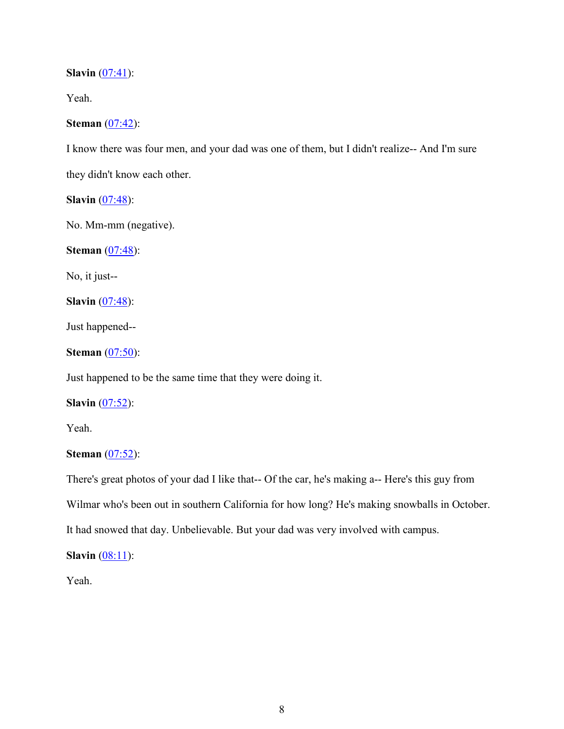**Slavin** (07:41):

Yeah.

# **Steman** (07:42):

I know there was four men, and your dad was one of them, but I didn't realize-- And I'm sure

they didn't know each other.

**Slavin** (07:48):

No. Mm-mm (negative).

**Steman** (07:48):

No, it just--

**Slavin** (07:48):

Just happened--

**Steman** (07:50):

Just happened to be the same time that they were doing it.

**Slavin** (07:52):

Yeah.

# **Steman** (07:52):

There's great photos of your dad I like that-- Of the car, he's making a-- Here's this guy from

Wilmar who's been out in southern California for how long? He's making snowballs in October.

It had snowed that day. Unbelievable. But your dad was very involved with campus.

**Slavin**  $(08:11)$ :

Yeah.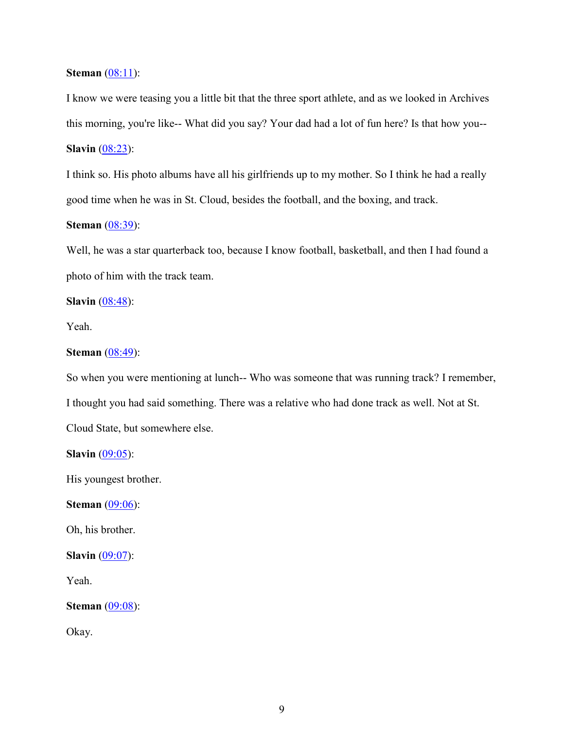#### **Steman** (08:11):

I know we were teasing you a little bit that the three sport athlete, and as we looked in Archives this morning, you're like-- What did you say? Your dad had a lot of fun here? Is that how you-- **Slavin** (08:23):

I think so. His photo albums have all his girlfriends up to my mother. So I think he had a really good time when he was in St. Cloud, besides the football, and the boxing, and track.

## **Steman** (08:39):

Well, he was a star quarterback too, because I know football, basketball, and then I had found a photo of him with the track team.

**Slavin** (08:48):

Yeah.

## **Steman** (08:49):

So when you were mentioning at lunch-- Who was someone that was running track? I remember, I thought you had said something. There was a relative who had done track as well. Not at St. Cloud State, but somewhere else.

**Slavin**  $(09:05)$ :

His youngest brother.

**Steman** (09:06):

Oh, his brother.

**Slavin** (09:07):

Yeah.

**Steman** (09:08):

Okay.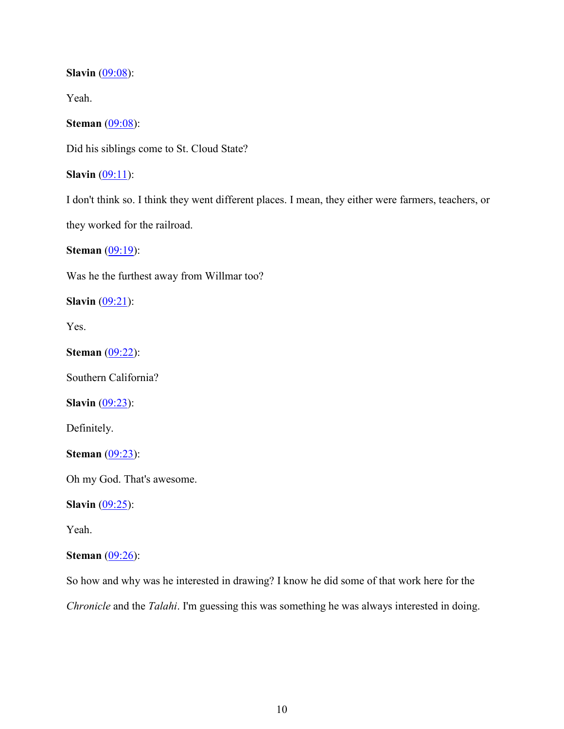**Slavin** (09:08):

Yeah.

**Steman** (09:08):

Did his siblings come to St. Cloud State?

**Slavin**  $(09:11)$ :

I don't think so. I think they went different places. I mean, they either were farmers, teachers, or they worked for the railroad.

**Steman** (09:19):

Was he the furthest away from Willmar too?

**Slavin** (09:21):

Yes.

**Steman** (09:22):

Southern California?

**Slavin** (09:23):

Definitely.

**Steman** (09:23):

Oh my God. That's awesome.

**Slavin** (09:25):

Yeah.

## **Steman** (09:26):

So how and why was he interested in drawing? I know he did some of that work here for the *Chronicle* and the *Talahi*. I'm guessing this was something he was always interested in doing.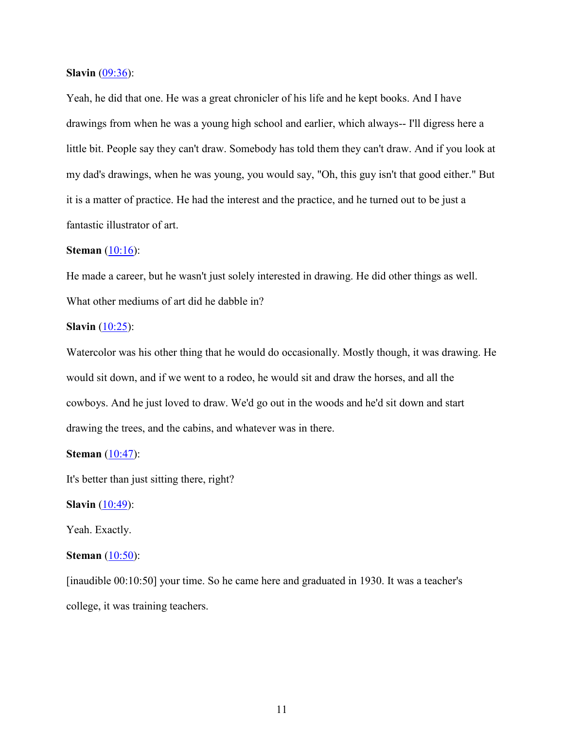**Slavin** (09:36):

Yeah, he did that one. He was a great chronicler of his life and he kept books. And I have drawings from when he was a young high school and earlier, which always-- I'll digress here a little bit. People say they can't draw. Somebody has told them they can't draw. And if you look at my dad's drawings, when he was young, you would say, "Oh, this guy isn't that good either." But it is a matter of practice. He had the interest and the practice, and he turned out to be just a fantastic illustrator of art.

#### **Steman** (10:16):

He made a career, but he wasn't just solely interested in drawing. He did other things as well. What other mediums of art did he dabble in?

## **Slavin** (10:25):

Watercolor was his other thing that he would do occasionally. Mostly though, it was drawing. He would sit down, and if we went to a rodeo, he would sit and draw the horses, and all the cowboys. And he just loved to draw. We'd go out in the woods and he'd sit down and start drawing the trees, and the cabins, and whatever was in there.

## **Steman** (10:47):

It's better than just sitting there, right?

**Slavin** (10:49):

Yeah. Exactly.

## **Steman** (10:50):

[inaudible 00:10:50] your time. So he came here and graduated in 1930. It was a teacher's college, it was training teachers.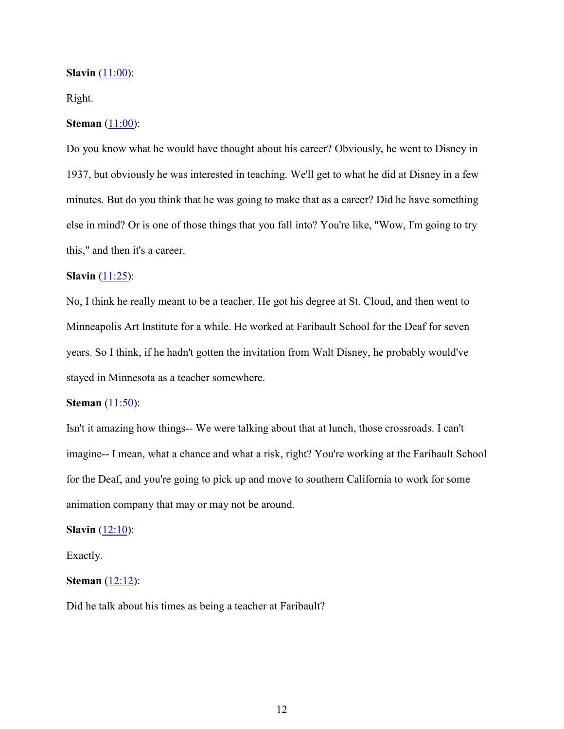#### **Slavin** (11:00):

## Right.

## **Steman** (11:00):

Do you know what he would have thought about his career? Obviously, he went to Disney in 1937, but obviously he was interested in teaching. We'll get to what he did at Disney in a few minutes. But do you think that he was going to make that as a career? Did he have something else in mind? Or is one of those things that you fall into? You're like, "Wow, I'm going to try this," and then it's a career.

## **Slavin** (11:25):

No, I think he really meant to be a teacher. He got his degree at St. Cloud, and then went to Minneapolis Art Institute for a while. He worked at Faribault School for the Deaf for seven years. So I think, if he hadn't gotten the invitation from Walt Disney, he probably would've stayed in Minnesota as a teacher somewhere.

#### **Steman**  $(11:50)$ :

Isn't it amazing how things-- We were talking about that at lunch, those crossroads. I can't imagine-- I mean, what a chance and what a risk, right? You're working at the Faribault School for the Deaf, and you're going to pick up and move to southern California to work for some animation company that may or may not be around.

#### **Slavin** (12:10):

Exactly.

## **Steman** (12:12):

Did he talk about his times as being a teacher at Faribault?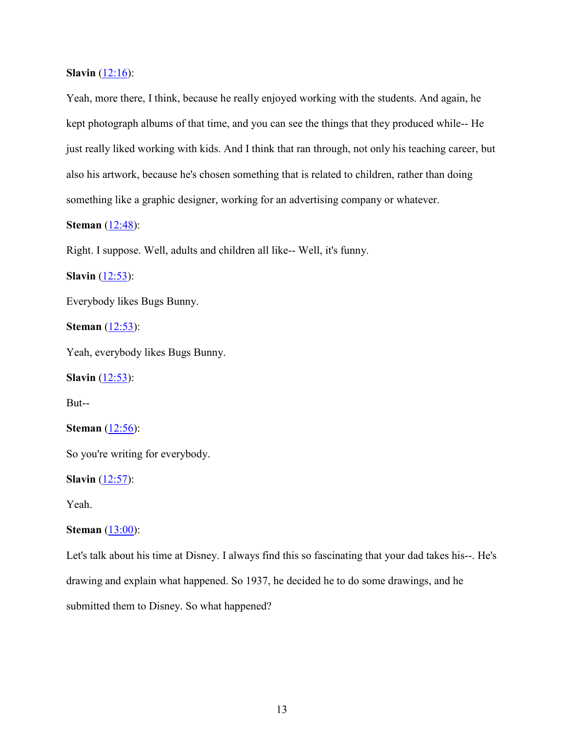**Slavin**  $(12:16)$ :

Yeah, more there, I think, because he really enjoyed working with the students. And again, he kept photograph albums of that time, and you can see the things that they produced while-- He just really liked working with kids. And I think that ran through, not only his teaching career, but also his artwork, because he's chosen something that is related to children, rather than doing something like a graphic designer, working for an advertising company or whatever.

## **Steman** (12:48):

Right. I suppose. Well, adults and children all like-- Well, it's funny.

**Slavin** (12:53):

Everybody likes Bugs Bunny.

**Steman** (12:53):

Yeah, everybody likes Bugs Bunny.

**Slavin** (12:53):

But--

**Steman** (12:56):

So you're writing for everybody.

**Slavin** (12:57):

Yeah.

## **Steman** (13:00):

Let's talk about his time at Disney. I always find this so fascinating that your dad takes his--. He's drawing and explain what happened. So 1937, he decided he to do some drawings, and he submitted them to Disney. So what happened?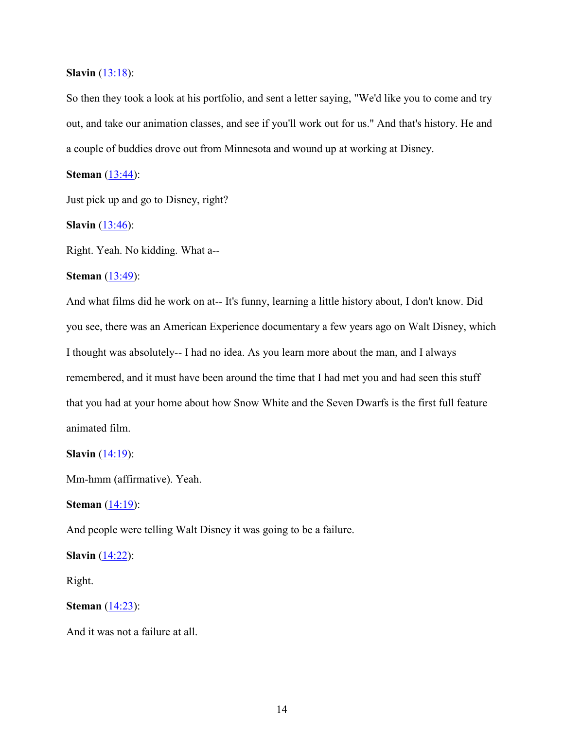### **Slavin** (13:18):

So then they took a look at his portfolio, and sent a letter saying, "We'd like you to come and try out, and take our animation classes, and see if you'll work out for us." And that's history. He and a couple of buddies drove out from Minnesota and wound up at working at Disney.

**Steman** (13:44):

Just pick up and go to Disney, right?

**Slavin** (13:46):

Right. Yeah. No kidding. What a--

## **Steman** (13:49):

And what films did he work on at-- It's funny, learning a little history about, I don't know. Did you see, there was an American Experience documentary a few years ago on Walt Disney, which I thought was absolutely-- I had no idea. As you learn more about the man, and I always remembered, and it must have been around the time that I had met you and had seen this stuff that you had at your home about how Snow White and the Seven Dwarfs is the first full feature animated film.

**Slavin** (14:19):

Mm-hmm (affirmative). Yeah.

**Steman** (14:19):

And people were telling Walt Disney it was going to be a failure.

**Slavin** (14:22):

Right.

**Steman** (14:23):

And it was not a failure at all.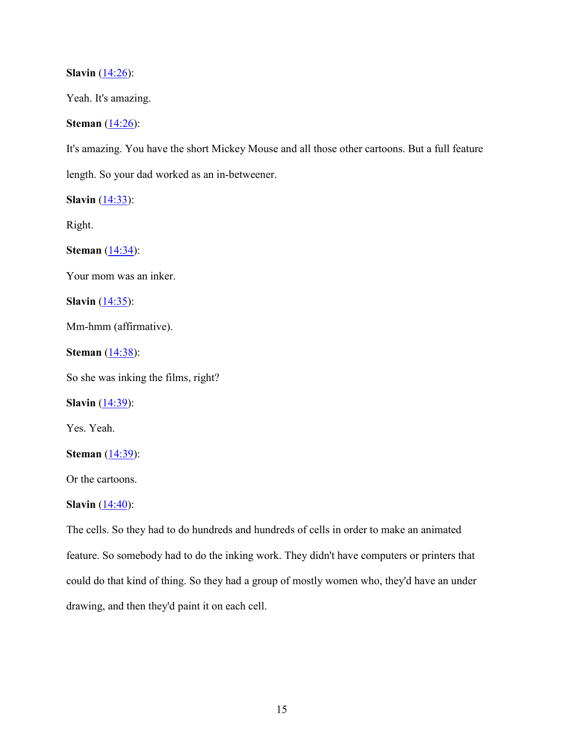**Slavin** (14:26):

Yeah. It's amazing.

**Steman** (14:26):

It's amazing. You have the short Mickey Mouse and all those other cartoons. But a full feature

length. So your dad worked as an in-betweener.

**Slavin** (14:33):

Right.

**Steman** (14:34):

Your mom was an inker.

**Slavin**  $(14:35)$ :

Mm-hmm (affirmative).

**Steman** (14:38):

So she was inking the films, right?

**Slavin** (14:39):

Yes. Yeah.

**Steman** (14:39):

Or the cartoons.

**Slavin** (14:40):

The cells. So they had to do hundreds and hundreds of cells in order to make an animated feature. So somebody had to do the inking work. They didn't have computers or printers that could do that kind of thing. So they had a group of mostly women who, they'd have an under drawing, and then they'd paint it on each cell.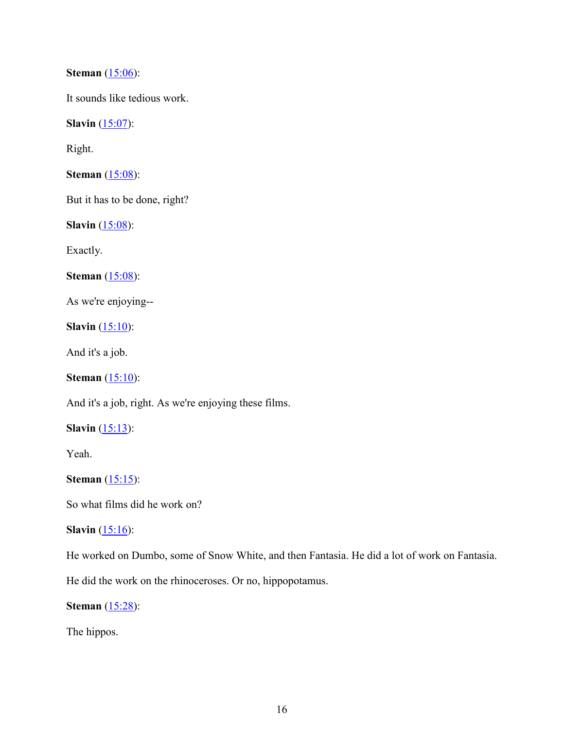**Steman** (15:06):

It sounds like tedious work.

**Slavin** (15:07):

Right.

**Steman** (15:08):

But it has to be done, right?

**Slavin** (15:08):

Exactly.

**Steman** (15:08):

As we're enjoying--

**Slavin**  $(15:10)$ :

And it's a job.

**Steman** (15:10):

And it's a job, right. As we're enjoying these films.

**Slavin**  $(15:13)$ :

Yeah.

**Steman** (15:15):

So what films did he work on?

## **Slavin**  $(15:16)$ :

He worked on Dumbo, some of Snow White, and then Fantasia. He did a lot of work on Fantasia.

He did the work on the rhinoceroses. Or no, hippopotamus.

**Steman** (15:28):

The hippos.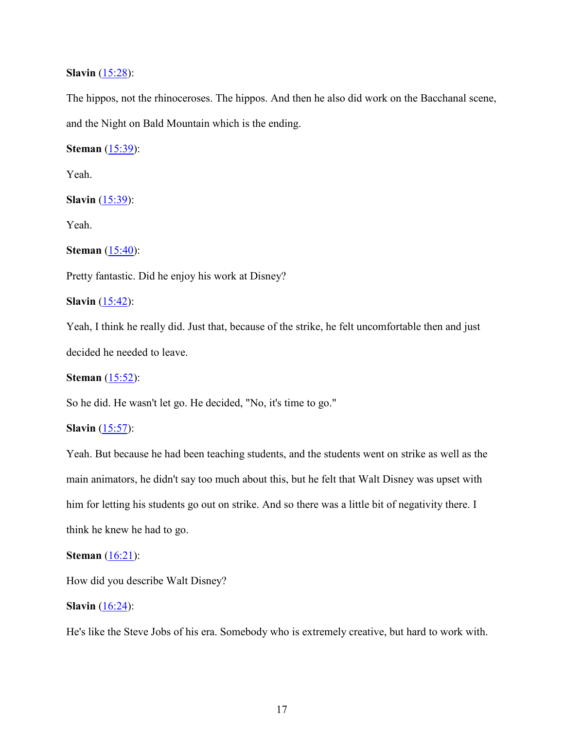## **Slavin** (15:28):

The hippos, not the rhinoceroses. The hippos. And then he also did work on the Bacchanal scene, and the Night on Bald Mountain which is the ending.

**Steman** (15:39):

Yeah.

**Slavin** (15:39):

Yeah.

**Steman** (15:40):

Pretty fantastic. Did he enjoy his work at Disney?

**Slavin** (15:42):

Yeah, I think he really did. Just that, because of the strike, he felt uncomfortable then and just decided he needed to leave.

**Steman** (15:52):

So he did. He wasn't let go. He decided, "No, it's time to go."

**Slavin** (15:57):

Yeah. But because he had been teaching students, and the students went on strike as well as the main animators, he didn't say too much about this, but he felt that Walt Disney was upset with him for letting his students go out on strike. And so there was a little bit of negativity there. I think he knew he had to go.

## **Steman** (16:21):

How did you describe Walt Disney?

### **Slavin** (16:24):

He's like the Steve Jobs of his era. Somebody who is extremely creative, but hard to work with.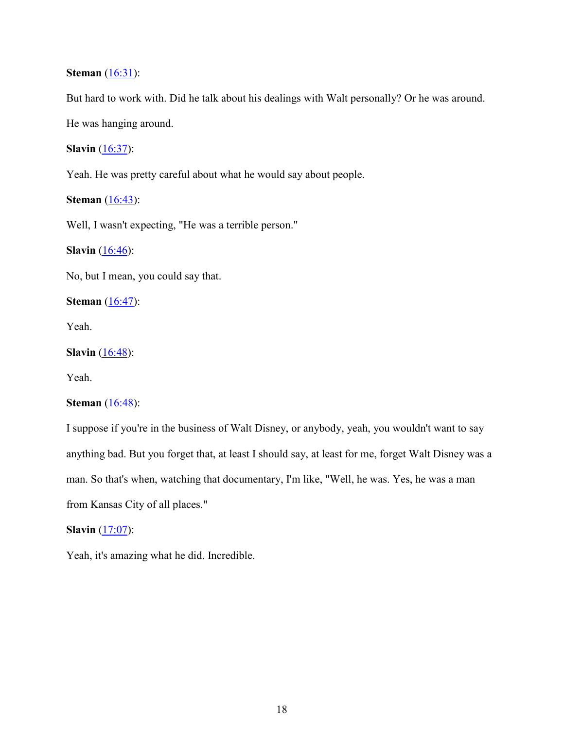## **Steman** (16:31):

But hard to work with. Did he talk about his dealings with Walt personally? Or he was around.

He was hanging around.

## **Slavin** (16:37):

Yeah. He was pretty careful about what he would say about people.

## **Steman** (16:43):

Well, I wasn't expecting, "He was a terrible person."

**Slavin** (16:46):

No, but I mean, you could say that.

**Steman** (16:47):

Yeah.

**Slavin** (16:48):

Yeah.

## **Steman** (16:48):

I suppose if you're in the business of Walt Disney, or anybody, yeah, you wouldn't want to say anything bad. But you forget that, at least I should say, at least for me, forget Walt Disney was a man. So that's when, watching that documentary, I'm like, "Well, he was. Yes, he was a man from Kansas City of all places."

## **Slavin** (17:07):

Yeah, it's amazing what he did. Incredible.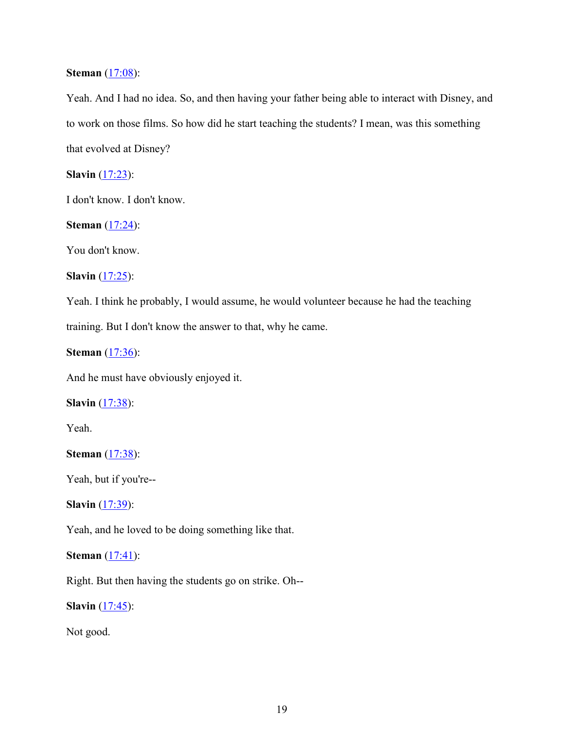## **Steman** (17:08):

Yeah. And I had no idea. So, and then having your father being able to interact with Disney, and to work on those films. So how did he start teaching the students? I mean, was this something that evolved at Disney?

**Slavin** (17:23):

I don't know. I don't know.

**Steman** (17:24):

You don't know.

**Slavin** (17:25):

Yeah. I think he probably, I would assume, he would volunteer because he had the teaching training. But I don't know the answer to that, why he came.

**Steman** (17:36):

And he must have obviously enjoyed it.

**Slavin** (17:38):

Yeah.

**Steman** (17:38):

Yeah, but if you're--

**Slavin** (17:39):

Yeah, and he loved to be doing something like that.

## **Steman** (17:41):

Right. But then having the students go on strike. Oh--

**Slavin** (17:45):

Not good.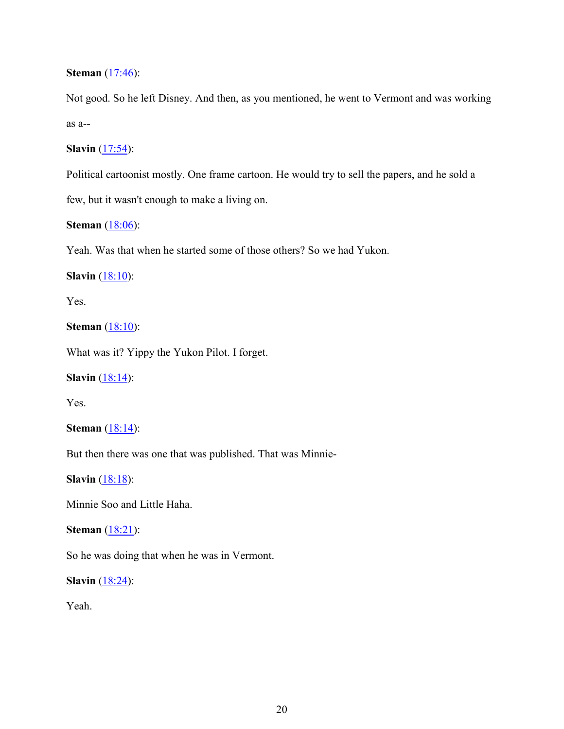## **Steman** (17:46):

Not good. So he left Disney. And then, as you mentioned, he went to Vermont and was working as a--

## **Slavin** (17:54):

Political cartoonist mostly. One frame cartoon. He would try to sell the papers, and he sold a

few, but it wasn't enough to make a living on.

## **Steman** (18:06):

Yeah. Was that when he started some of those others? So we had Yukon.

## **Slavin** (18:10):

Yes.

## **Steman** (18:10):

What was it? Yippy the Yukon Pilot. I forget.

## **Slavin**  $(18:14)$ :

Yes.

## **Steman** (18:14):

But then there was one that was published. That was Minnie-

**Slavin** (18:18):

Minnie Soo and Little Haha.

## **Steman** (18:21):

So he was doing that when he was in Vermont.

**Slavin** (18:24):

Yeah.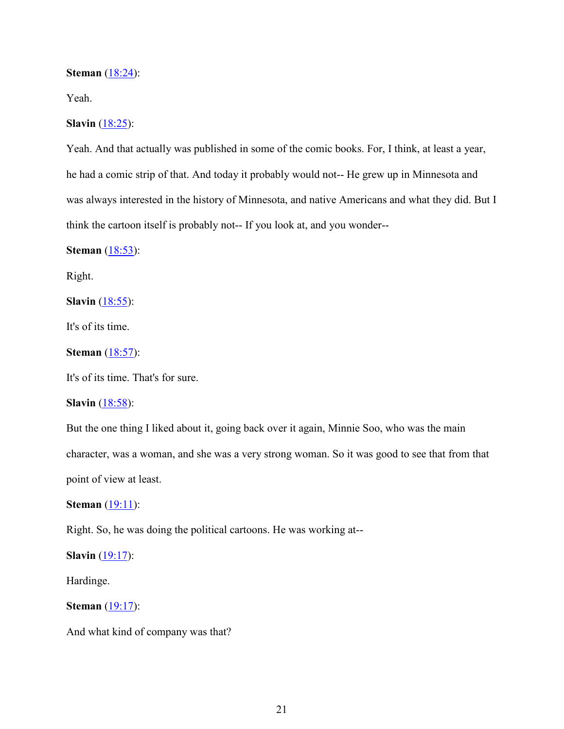#### **Steman** (18:24):

Yeah.

## **Slavin** (18:25):

Yeah. And that actually was published in some of the comic books. For, I think, at least a year, he had a comic strip of that. And today it probably would not-- He grew up in Minnesota and was always interested in the history of Minnesota, and native Americans and what they did. But I think the cartoon itself is probably not-- If you look at, and you wonder--

**Steman** (18:53):

Right.

**Slavin** (18:55):

It's of its time.

**Steman** (18:57):

It's of its time. That's for sure.

**Slavin** (18:58):

But the one thing I liked about it, going back over it again, Minnie Soo, who was the main character, was a woman, and she was a very strong woman. So it was good to see that from that point of view at least.

**Steman** (19:11):

Right. So, he was doing the political cartoons. He was working at--

**Slavin** (19:17):

Hardinge.

**Steman** (19:17):

And what kind of company was that?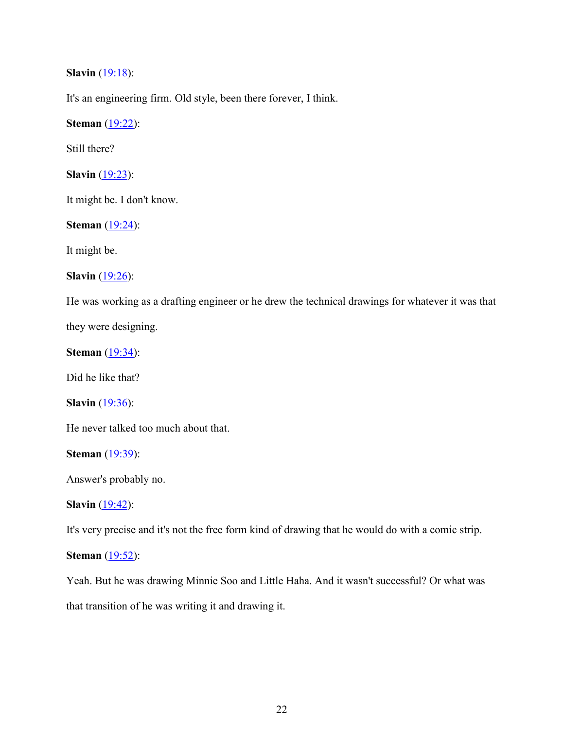**Slavin** (19:18):

It's an engineering firm. Old style, been there forever, I think.

**Steman** (19:22):

Still there?

**Slavin** (19:23):

It might be. I don't know.

**Steman** (19:24):

It might be.

**Slavin** (19:26):

He was working as a drafting engineer or he drew the technical drawings for whatever it was that they were designing.

**Steman** (19:34):

Did he like that?

**Slavin** (19:36):

He never talked too much about that.

**Steman** (19:39):

Answer's probably no.

**Slavin** (19:42):

It's very precise and it's not the free form kind of drawing that he would do with a comic strip.

**Steman** (19:52):

Yeah. But he was drawing Minnie Soo and Little Haha. And it wasn't successful? Or what was that transition of he was writing it and drawing it.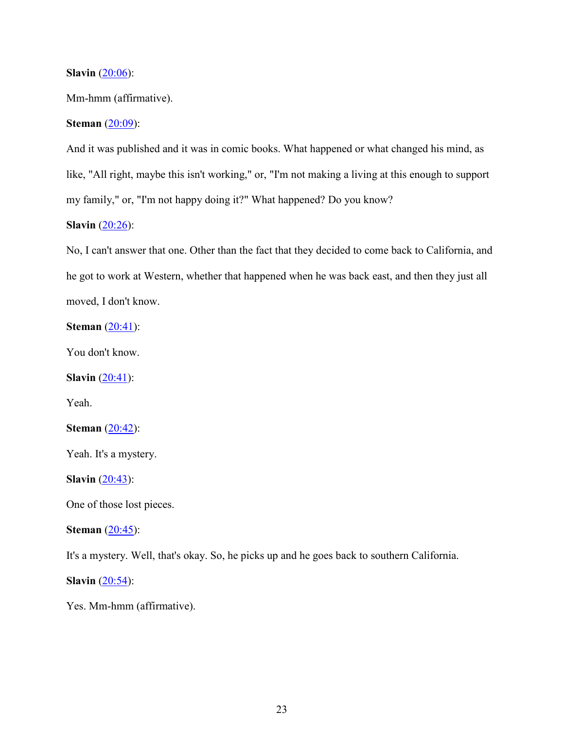## **Slavin** (20:06):

Mm-hmm (affirmative).

## **Steman** (20:09):

And it was published and it was in comic books. What happened or what changed his mind, as like, "All right, maybe this isn't working," or, "I'm not making a living at this enough to support my family," or, "I'm not happy doing it?" What happened? Do you know?

## **Slavin** (20:26):

No, I can't answer that one. Other than the fact that they decided to come back to California, and he got to work at Western, whether that happened when he was back east, and then they just all moved, I don't know.

# **Steman** (20:41):

You don't know.

**Slavin** (20:41):

Yeah.

**Steman** (20:42):

Yeah. It's a mystery.

**Slavin** (20:43):

One of those lost pieces.

## **Steman** (20:45):

It's a mystery. Well, that's okay. So, he picks up and he goes back to southern California.

**Slavin** (20:54):

Yes. Mm-hmm (affirmative).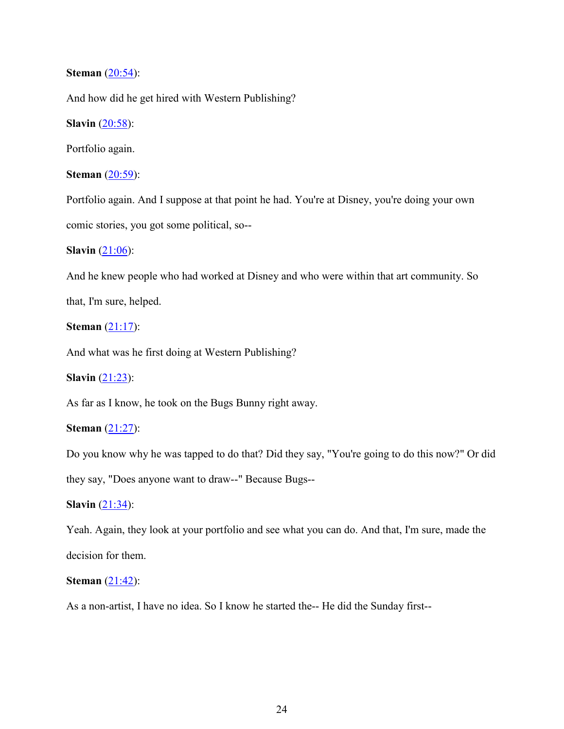## **Steman** (20:54):

And how did he get hired with Western Publishing?

**Slavin** (20:58):

Portfolio again.

**Steman** (20:59):

Portfolio again. And I suppose at that point he had. You're at Disney, you're doing your own comic stories, you got some political, so--

**Slavin** (21:06):

And he knew people who had worked at Disney and who were within that art community. So that, I'm sure, helped.

**Steman** (21:17):

And what was he first doing at Western Publishing?

**Slavin** (21:23):

As far as I know, he took on the Bugs Bunny right away.

**Steman** (21:27):

Do you know why he was tapped to do that? Did they say, "You're going to do this now?" Or did

they say, "Does anyone want to draw--" Because Bugs--

**Slavin** (21:34):

Yeah. Again, they look at your portfolio and see what you can do. And that, I'm sure, made the decision for them.

**Steman** (21:42):

As a non-artist, I have no idea. So I know he started the-- He did the Sunday first--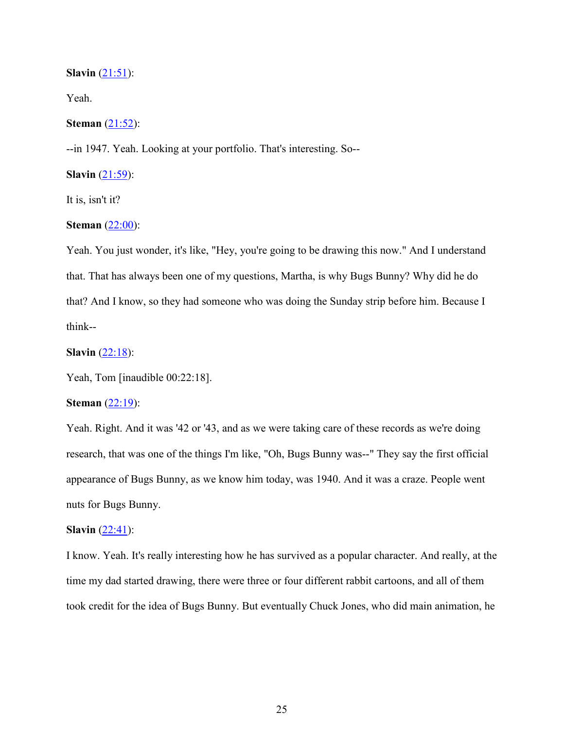#### **Slavin** (21:51):

Yeah.

## **Steman** (21:52):

--in 1947. Yeah. Looking at your portfolio. That's interesting. So--

**Slavin** (21:59):

It is, isn't it?

## **Steman** (22:00):

Yeah. You just wonder, it's like, "Hey, you're going to be drawing this now." And I understand that. That has always been one of my questions, Martha, is why Bugs Bunny? Why did he do that? And I know, so they had someone who was doing the Sunday strip before him. Because I think--

## **Slavin** (22:18):

Yeah, Tom [inaudible 00:22:18].

## **Steman** (22:19):

Yeah. Right. And it was '42 or '43, and as we were taking care of these records as we're doing research, that was one of the things I'm like, "Oh, Bugs Bunny was--" They say the first official appearance of Bugs Bunny, as we know him today, was 1940. And it was a craze. People went nuts for Bugs Bunny.

#### **Slavin**  $(22:41)$ :

I know. Yeah. It's really interesting how he has survived as a popular character. And really, at the time my dad started drawing, there were three or four different rabbit cartoons, and all of them took credit for the idea of Bugs Bunny. But eventually Chuck Jones, who did main animation, he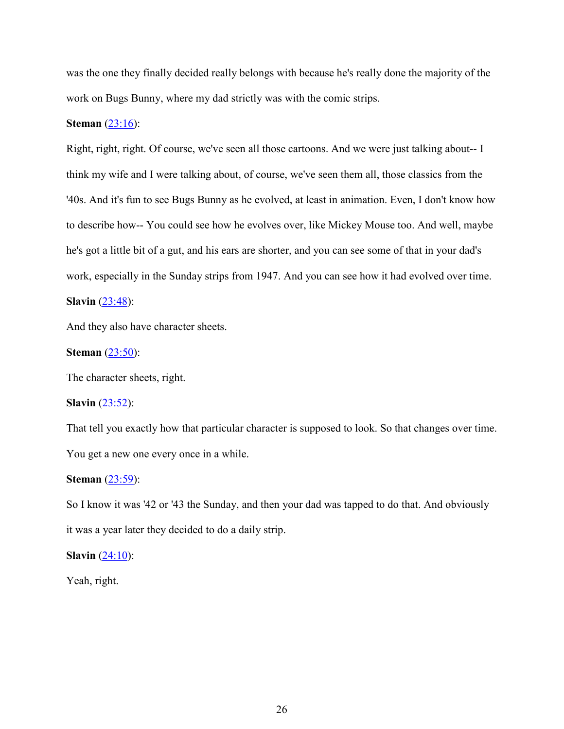was the one they finally decided really belongs with because he's really done the majority of the work on Bugs Bunny, where my dad strictly was with the comic strips.

## **Steman** (23:16):

Right, right, right. Of course, we've seen all those cartoons. And we were just talking about-- I think my wife and I were talking about, of course, we've seen them all, those classics from the '40s. And it's fun to see Bugs Bunny as he evolved, at least in animation. Even, I don't know how to describe how-- You could see how he evolves over, like Mickey Mouse too. And well, maybe he's got a little bit of a gut, and his ears are shorter, and you can see some of that in your dad's work, especially in the Sunday strips from 1947. And you can see how it had evolved over time.

## **Slavin** (23:48):

And they also have character sheets.

#### **Steman** (23:50):

The character sheets, right.

#### **Slavin** (23:52):

That tell you exactly how that particular character is supposed to look. So that changes over time. You get a new one every once in a while.

#### **Steman** (23:59):

So I know it was '42 or '43 the Sunday, and then your dad was tapped to do that. And obviously it was a year later they decided to do a daily strip.

## **Slavin** (24:10):

Yeah, right.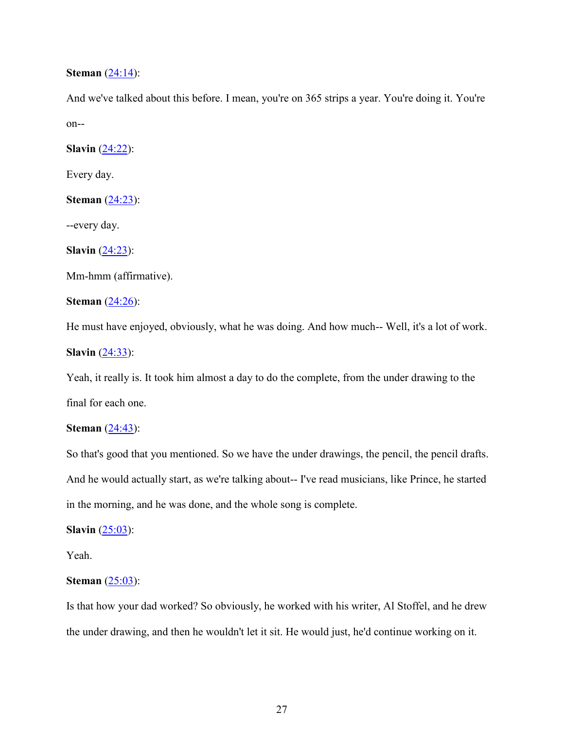## **Steman** (24:14):

And we've talked about this before. I mean, you're on 365 strips a year. You're doing it. You're on--

**Slavin** (24:22):

Every day.

**Steman** (24:23):

--every day.

**Slavin** (24:23):

Mm-hmm (affirmative).

**Steman** (24:26):

He must have enjoyed, obviously, what he was doing. And how much-- Well, it's a lot of work.

**Slavin** (24:33):

Yeah, it really is. It took him almost a day to do the complete, from the under drawing to the final for each one.

## **Steman** (24:43):

So that's good that you mentioned. So we have the under drawings, the pencil, the pencil drafts. And he would actually start, as we're talking about-- I've read musicians, like Prince, he started in the morning, and he was done, and the whole song is complete.

**Slavin** (25:03):

Yeah.

## **Steman** (25:03):

Is that how your dad worked? So obviously, he worked with his writer, Al Stoffel, and he drew the under drawing, and then he wouldn't let it sit. He would just, he'd continue working on it.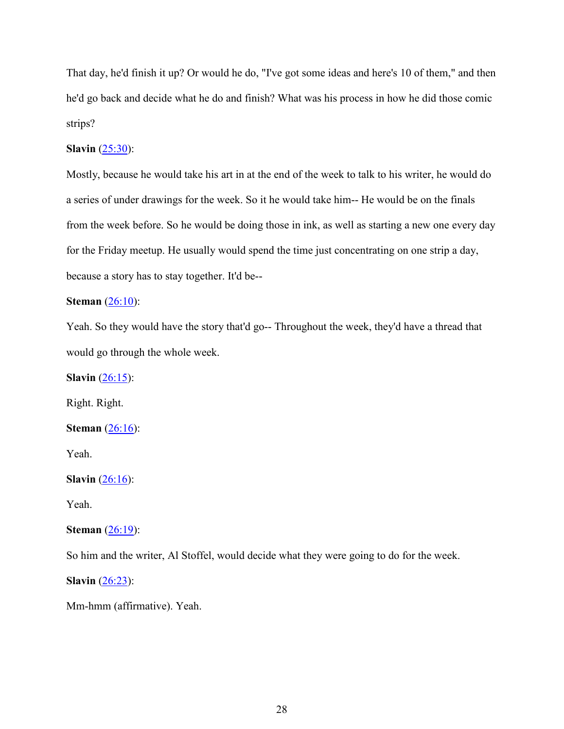That day, he'd finish it up? Or would he do, "I've got some ideas and here's 10 of them," and then he'd go back and decide what he do and finish? What was his process in how he did those comic strips?

## **Slavin** (25:30):

Mostly, because he would take his art in at the end of the week to talk to his writer, he would do a series of under drawings for the week. So it he would take him-- He would be on the finals from the week before. So he would be doing those in ink, as well as starting a new one every day for the Friday meetup. He usually would spend the time just concentrating on one strip a day, because a story has to stay together. It'd be--

## **Steman** (26:10):

Yeah. So they would have the story that'd go-- Throughout the week, they'd have a thread that would go through the whole week.

**Slavin** (26:15):

Right. Right.

**Steman** (26:16):

Yeah.

**Slavin** (26:16):

Yeah.

#### **Steman** (26:19):

So him and the writer, Al Stoffel, would decide what they were going to do for the week.

**Slavin** (26:23):

Mm-hmm (affirmative). Yeah.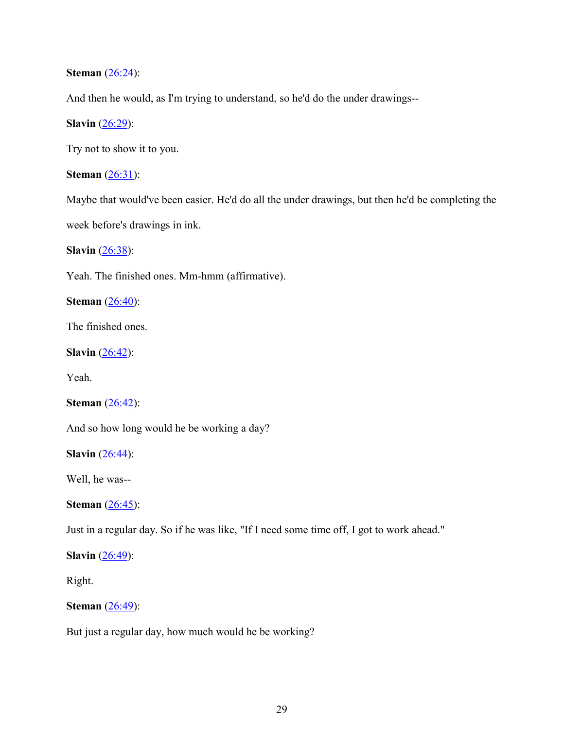**Steman** (26:24):

And then he would, as I'm trying to understand, so he'd do the under drawings--

**Slavin** (26:29):

Try not to show it to you.

**Steman** (26:31):

Maybe that would've been easier. He'd do all the under drawings, but then he'd be completing the week before's drawings in ink.

**Slavin** (26:38):

Yeah. The finished ones. Mm-hmm (affirmative).

**Steman** (26:40):

The finished ones.

**Slavin** (26:42):

Yeah.

**Steman** (26:42):

And so how long would he be working a day?

**Slavin** (26:44):

Well, he was--

**Steman** (26:45):

Just in a regular day. So if he was like, "If I need some time off, I got to work ahead."

**Slavin** (26:49):

Right.

## **Steman** (26:49):

But just a regular day, how much would he be working?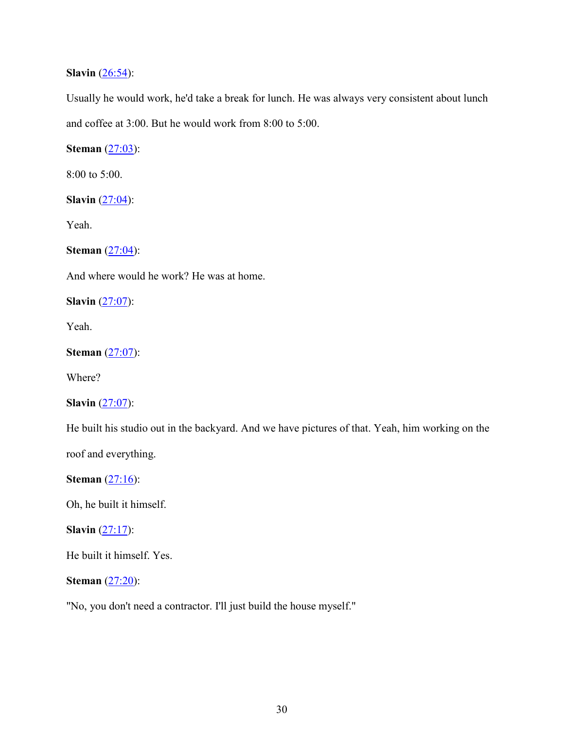## **Slavin** (26:54):

Usually he would work, he'd take a break for lunch. He was always very consistent about lunch and coffee at 3:00. But he would work from 8:00 to 5:00.

**Steman** (27:03):

8:00 to 5:00.

**Slavin**  $(27:04)$ :

Yeah.

**Steman** (27:04):

And where would he work? He was at home.

**Slavin** (27:07):

Yeah.

**Steman** (27:07):

Where?

**Slavin** (27:07):

He built his studio out in the backyard. And we have pictures of that. Yeah, him working on the

roof and everything.

**Steman** (27:16):

Oh, he built it himself.

**Slavin** (27:17):

He built it himself. Yes.

**Steman** (27:20):

"No, you don't need a contractor. I'll just build the house myself."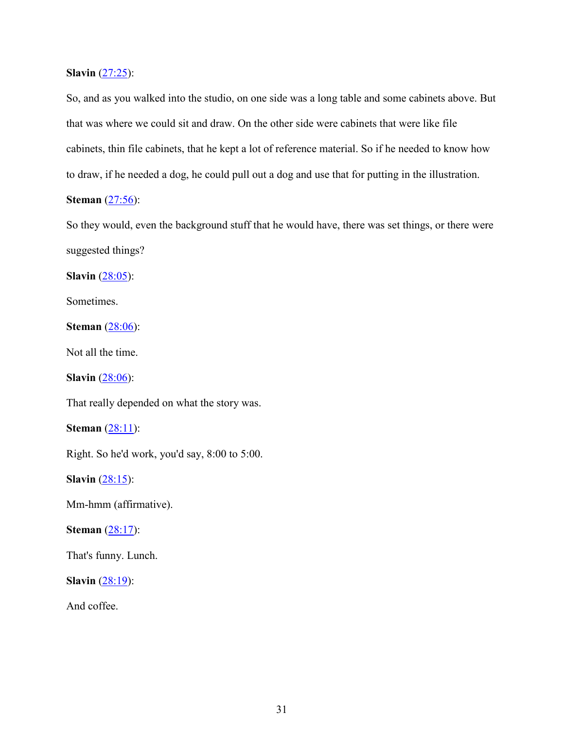**Slavin** (27:25):

So, and as you walked into the studio, on one side was a long table and some cabinets above. But that was where we could sit and draw. On the other side were cabinets that were like file cabinets, thin file cabinets, that he kept a lot of reference material. So if he needed to know how to draw, if he needed a dog, he could pull out a dog and use that for putting in the illustration.

# **Steman** (27:56):

So they would, even the background stuff that he would have, there was set things, or there were suggested things?

**Slavin** (28:05):

Sometimes.

**Steman** (28:06):

Not all the time.

**Slavin** (28:06):

That really depended on what the story was.

**Steman** (28:11):

Right. So he'd work, you'd say, 8:00 to 5:00.

**Slavin** (28:15):

Mm-hmm (affirmative).

## **Steman** (28:17):

That's funny. Lunch.

**Slavin** (28:19):

And coffee.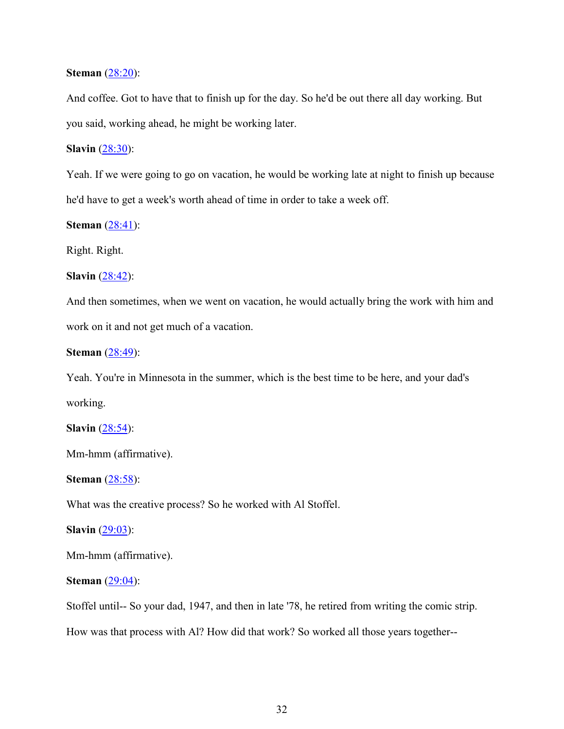## **Steman** (28:20):

And coffee. Got to have that to finish up for the day. So he'd be out there all day working. But you said, working ahead, he might be working later.

## **Slavin** (28:30):

Yeah. If we were going to go on vacation, he would be working late at night to finish up because he'd have to get a week's worth ahead of time in order to take a week off.

**Steman** (28:41):

Right. Right.

**Slavin** (28:42):

And then sometimes, when we went on vacation, he would actually bring the work with him and work on it and not get much of a vacation.

**Steman** (28:49):

Yeah. You're in Minnesota in the summer, which is the best time to be here, and your dad's working.

**Slavin** (28:54):

Mm-hmm (affirmative).

**Steman** (28:58):

What was the creative process? So he worked with Al Stoffel.

**Slavin** (29:03):

Mm-hmm (affirmative).

## **Steman** (29:04):

Stoffel until-- So your dad, 1947, and then in late '78, he retired from writing the comic strip.

How was that process with Al? How did that work? So worked all those years together--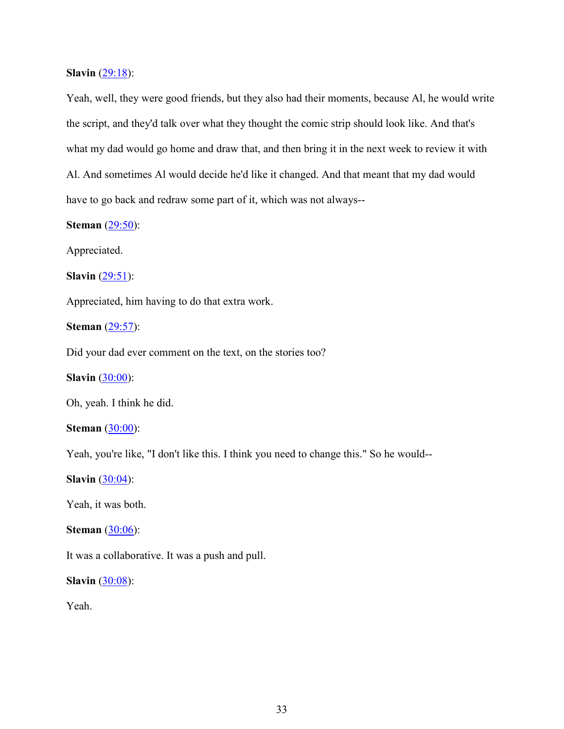**Slavin** (29:18):

Yeah, well, they were good friends, but they also had their moments, because Al, he would write the script, and they'd talk over what they thought the comic strip should look like. And that's what my dad would go home and draw that, and then bring it in the next week to review it with Al. And sometimes Al would decide he'd like it changed. And that meant that my dad would have to go back and redraw some part of it, which was not always--

**Steman** (29:50):

Appreciated.

**Slavin** (29:51):

Appreciated, him having to do that extra work.

**Steman** (29:57):

Did your dad ever comment on the text, on the stories too?

**Slavin** (30:00):

Oh, yeah. I think he did.

**Steman** (30:00):

Yeah, you're like, "I don't like this. I think you need to change this." So he would--

**Slavin** (30:04):

Yeah, it was both.

## **Steman** (30:06):

It was a collaborative. It was a push and pull.

**Slavin** (30:08):

Yeah.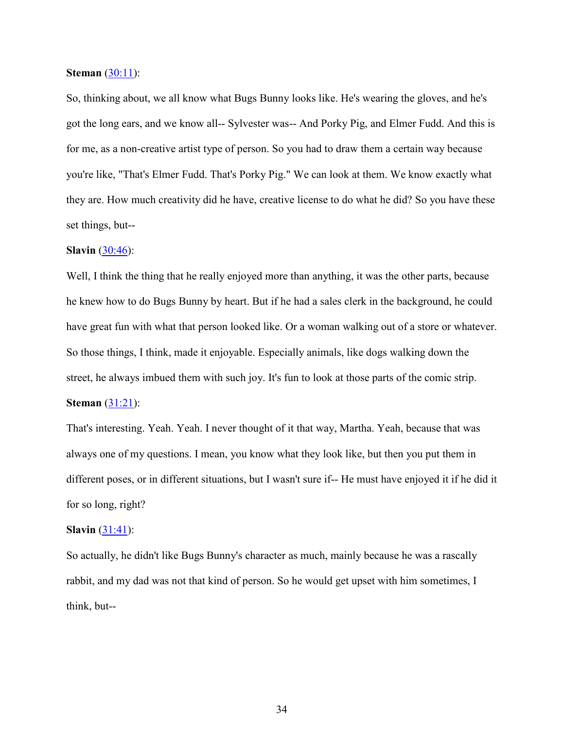### **Steman** (30:11):

So, thinking about, we all know what Bugs Bunny looks like. He's wearing the gloves, and he's got the long ears, and we know all-- Sylvester was-- And Porky Pig, and Elmer Fudd. And this is for me, as a non-creative artist type of person. So you had to draw them a certain way because you're like, "That's Elmer Fudd. That's Porky Pig." We can look at them. We know exactly what they are. How much creativity did he have, creative license to do what he did? So you have these set things, but--

#### **Slavin** (30:46):

Well, I think the thing that he really enjoyed more than anything, it was the other parts, because he knew how to do Bugs Bunny by heart. But if he had a sales clerk in the background, he could have great fun with what that person looked like. Or a woman walking out of a store or whatever. So those things, I think, made it enjoyable. Especially animals, like dogs walking down the street, he always imbued them with such joy. It's fun to look at those parts of the comic strip.

### **Steman** (31:21):

That's interesting. Yeah. Yeah. I never thought of it that way, Martha. Yeah, because that was always one of my questions. I mean, you know what they look like, but then you put them in different poses, or in different situations, but I wasn't sure if-- He must have enjoyed it if he did it for so long, right?

#### **Slavin** (31:41):

So actually, he didn't like Bugs Bunny's character as much, mainly because he was a rascally rabbit, and my dad was not that kind of person. So he would get upset with him sometimes, I think, but--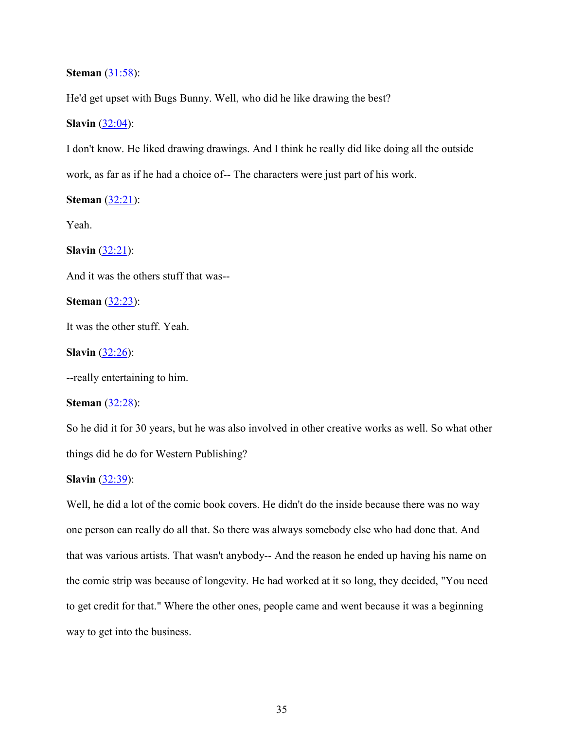## **Steman** (31:58):

He'd get upset with Bugs Bunny. Well, who did he like drawing the best?

## **Slavin** (32:04):

I don't know. He liked drawing drawings. And I think he really did like doing all the outside work, as far as if he had a choice of-- The characters were just part of his work.

**Steman** (32:21):

Yeah.

**Slavin** (32:21):

And it was the others stuff that was--

**Steman** (32:23):

It was the other stuff. Yeah.

**Slavin** (32:26):

--really entertaining to him.

#### **Steman** (32:28):

So he did it for 30 years, but he was also involved in other creative works as well. So what other things did he do for Western Publishing?

#### **Slavin** (32:39):

Well, he did a lot of the comic book covers. He didn't do the inside because there was no way one person can really do all that. So there was always somebody else who had done that. And that was various artists. That wasn't anybody-- And the reason he ended up having his name on the comic strip was because of longevity. He had worked at it so long, they decided, "You need to get credit for that." Where the other ones, people came and went because it was a beginning way to get into the business.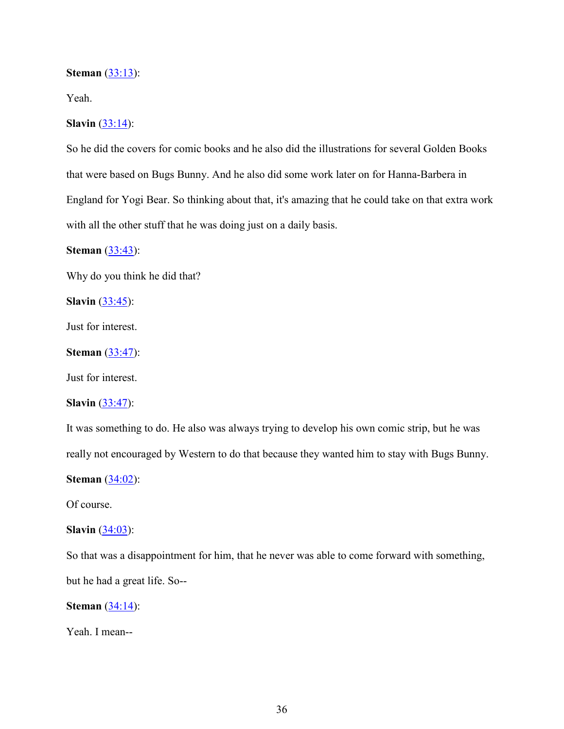#### **Steman** (33:13):

Yeah.

## **Slavin** (33:14):

So he did the covers for comic books and he also did the illustrations for several Golden Books that were based on Bugs Bunny. And he also did some work later on for Hanna-Barbera in England for Yogi Bear. So thinking about that, it's amazing that he could take on that extra work with all the other stuff that he was doing just on a daily basis.

**Steman** (33:43):

Why do you think he did that?

**Slavin** (33:45):

Just for interest.

**Steman** (33:47):

Just for interest.

#### **Slavin** (33:47):

It was something to do. He also was always trying to develop his own comic strip, but he was really not encouraged by Western to do that because they wanted him to stay with Bugs Bunny.

**Steman** (34:02):

Of course.

## **Slavin** (34:03):

So that was a disappointment for him, that he never was able to come forward with something, but he had a great life. So--

**Steman** (34:14):

Yeah. I mean--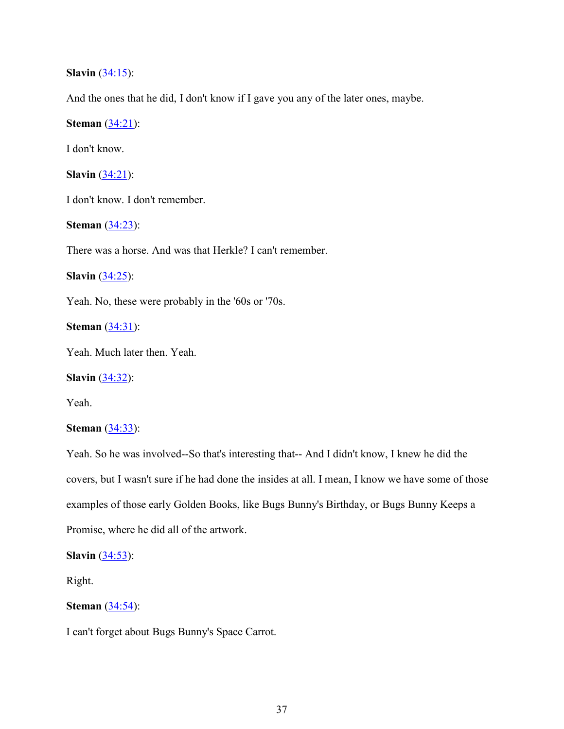**Slavin** (34:15):

And the ones that he did, I don't know if I gave you any of the later ones, maybe.

**Steman** (34:21):

I don't know.

**Slavin** (34:21):

I don't know. I don't remember.

**Steman** (34:23):

There was a horse. And was that Herkle? I can't remember.

**Slavin** (34:25):

Yeah. No, these were probably in the '60s or '70s.

**Steman** (34:31):

Yeah. Much later then. Yeah.

**Slavin** (34:32):

Yeah.

## **Steman** (34:33):

Yeah. So he was involved--So that's interesting that-- And I didn't know, I knew he did the covers, but I wasn't sure if he had done the insides at all. I mean, I know we have some of those examples of those early Golden Books, like Bugs Bunny's Birthday, or Bugs Bunny Keeps a Promise, where he did all of the artwork.

**Slavin** (34:53):

Right.

**Steman** (34:54):

I can't forget about Bugs Bunny's Space Carrot.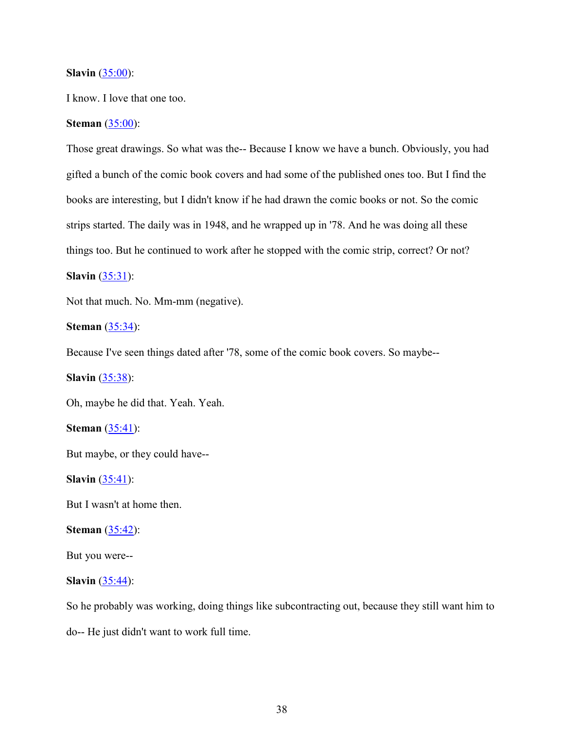#### **Slavin** (35:00):

I know. I love that one too.

## **Steman** (35:00):

Those great drawings. So what was the-- Because I know we have a bunch. Obviously, you had gifted a bunch of the comic book covers and had some of the published ones too. But I find the books are interesting, but I didn't know if he had drawn the comic books or not. So the comic strips started. The daily was in 1948, and he wrapped up in '78. And he was doing all these things too. But he continued to work after he stopped with the comic strip, correct? Or not?

# **Slavin** (35:31):

Not that much. No. Mm-mm (negative).

**Steman** (35:34):

Because I've seen things dated after '78, some of the comic book covers. So maybe--

**Slavin** (35:38):

Oh, maybe he did that. Yeah. Yeah.

**Steman** (35:41):

But maybe, or they could have--

**Slavin** (35:41):

But I wasn't at home then.

#### **Steman** (35:42):

But you were--

## **Slavin** (35:44):

So he probably was working, doing things like subcontracting out, because they still want him to do-- He just didn't want to work full time.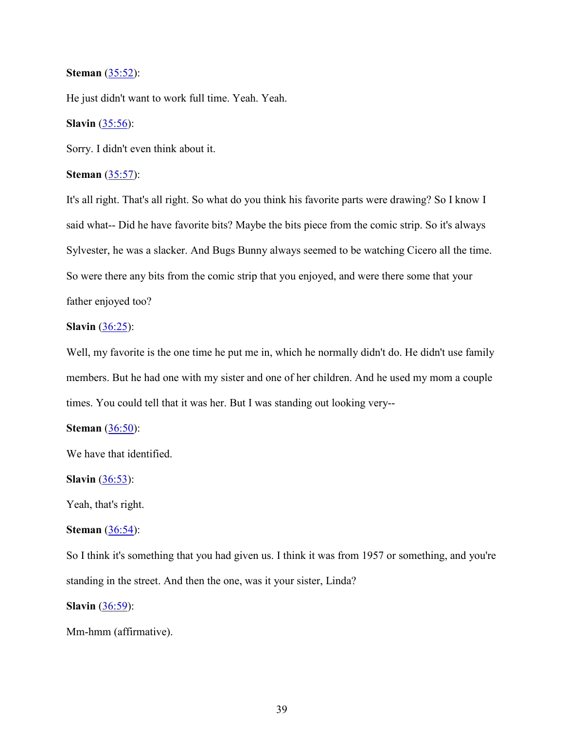## **Steman** (35:52):

He just didn't want to work full time. Yeah. Yeah.

## **Slavin** (35:56):

Sorry. I didn't even think about it.

## **Steman** (35:57):

It's all right. That's all right. So what do you think his favorite parts were drawing? So I know I said what-- Did he have favorite bits? Maybe the bits piece from the comic strip. So it's always Sylvester, he was a slacker. And Bugs Bunny always seemed to be watching Cicero all the time. So were there any bits from the comic strip that you enjoyed, and were there some that your father enjoyed too?

## **Slavin** (36:25):

Well, my favorite is the one time he put me in, which he normally didn't do. He didn't use family members. But he had one with my sister and one of her children. And he used my mom a couple times. You could tell that it was her. But I was standing out looking very--

## **Steman** (36:50):

We have that identified.

#### **Slavin** (36:53):

Yeah, that's right.

## **Steman** (36:54):

So I think it's something that you had given us. I think it was from 1957 or something, and you're standing in the street. And then the one, was it your sister, Linda?

**Slavin** (36:59):

#### Mm-hmm (affirmative).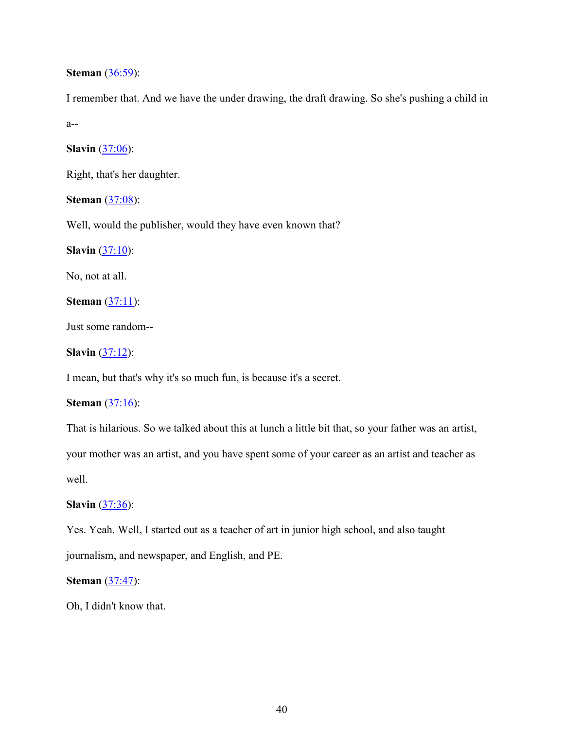## **Steman** (36:59):

I remember that. And we have the under drawing, the draft drawing. So she's pushing a child in a--

**Slavin** (37:06):

Right, that's her daughter.

**Steman** (37:08):

Well, would the publisher, would they have even known that?

**Slavin** (37:10):

No, not at all.

**Steman** (37:11):

Just some random--

**Slavin** (37:12):

I mean, but that's why it's so much fun, is because it's a secret.

## **Steman** (37:16):

That is hilarious. So we talked about this at lunch a little bit that, so your father was an artist, your mother was an artist, and you have spent some of your career as an artist and teacher as well.

**Slavin** (37:36):

Yes. Yeah. Well, I started out as a teacher of art in junior high school, and also taught

journalism, and newspaper, and English, and PE.

**Steman** (37:47):

Oh, I didn't know that.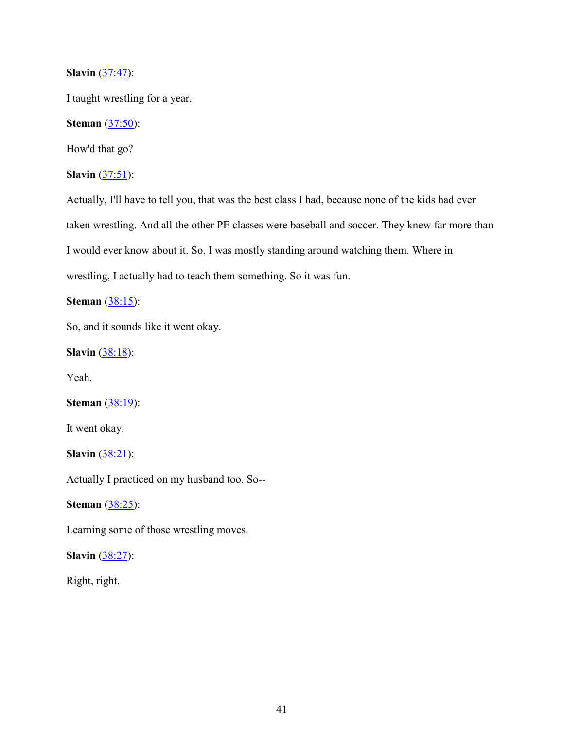**Slavin** (37:47):

I taught wrestling for a year.

**Steman** (37:50):

How'd that go?

**Slavin** (37:51):

Actually, I'll have to tell you, that was the best class I had, because none of the kids had ever taken wrestling. And all the other PE classes were baseball and soccer. They knew far more than I would ever know about it. So, I was mostly standing around watching them. Where in wrestling, I actually had to teach them something. So it was fun.

**Steman** (38:15):

So, and it sounds like it went okay.

**Slavin** (38:18):

Yeah.

**Steman** (38:19):

It went okay.

**Slavin** (38:21):

Actually I practiced on my husband too. So--

**Steman** (38:25):

Learning some of those wrestling moves.

**Slavin** (38:27):

Right, right.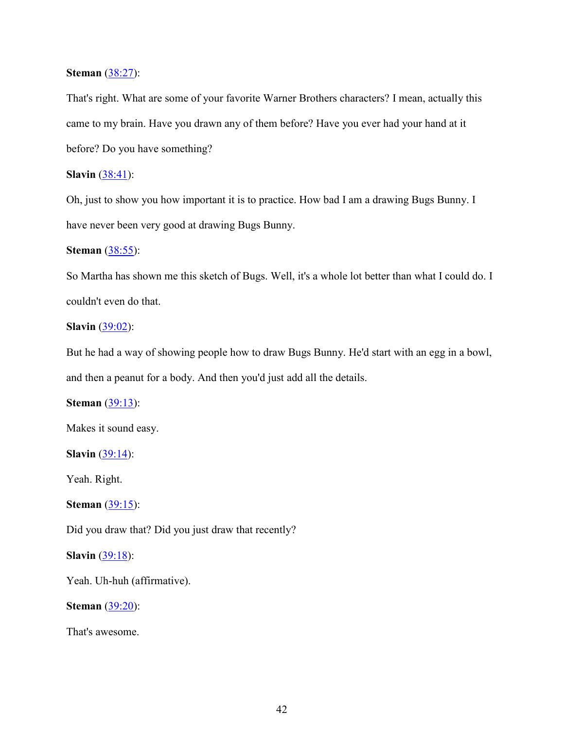## **Steman** (38:27):

That's right. What are some of your favorite Warner Brothers characters? I mean, actually this came to my brain. Have you drawn any of them before? Have you ever had your hand at it before? Do you have something?

## **Slavin** (38:41):

Oh, just to show you how important it is to practice. How bad I am a drawing Bugs Bunny. I have never been very good at drawing Bugs Bunny.

## **Steman** (38:55):

So Martha has shown me this sketch of Bugs. Well, it's a whole lot better than what I could do. I couldn't even do that.

## **Slavin** (39:02):

But he had a way of showing people how to draw Bugs Bunny. He'd start with an egg in a bowl, and then a peanut for a body. And then you'd just add all the details.

## **Steman** (39:13):

Makes it sound easy.

**Slavin** (39:14):

Yeah. Right.

**Steman** (39:15):

Did you draw that? Did you just draw that recently?

## **Slavin** (39:18):

Yeah. Uh-huh (affirmative).

**Steman** (39:20):

That's awesome.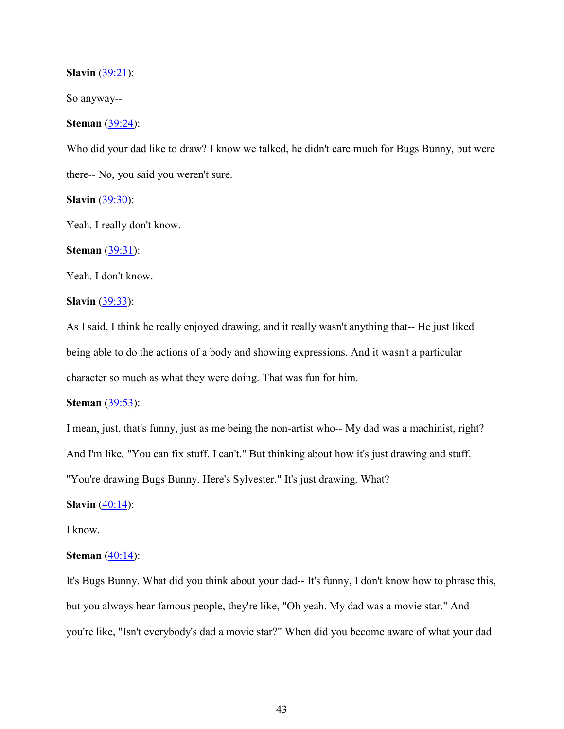**Slavin** (39:21):

So anyway--

## **Steman** (39:24):

Who did your dad like to draw? I know we talked, he didn't care much for Bugs Bunny, but were there-- No, you said you weren't sure.

**Slavin** (39:30):

Yeah. I really don't know.

**Steman** (39:31):

Yeah. I don't know.

## **Slavin** (39:33):

As I said, I think he really enjoyed drawing, and it really wasn't anything that-- He just liked being able to do the actions of a body and showing expressions. And it wasn't a particular character so much as what they were doing. That was fun for him.

#### **Steman** (39:53):

I mean, just, that's funny, just as me being the non-artist who-- My dad was a machinist, right? And I'm like, "You can fix stuff. I can't." But thinking about how it's just drawing and stuff. "You're drawing Bugs Bunny. Here's Sylvester." It's just drawing. What?

**Slavin** (40:14):

I know.

#### **Steman** (40:14):

It's Bugs Bunny. What did you think about your dad-- It's funny, I don't know how to phrase this, but you always hear famous people, they're like, "Oh yeah. My dad was a movie star." And you're like, "Isn't everybody's dad a movie star?" When did you become aware of what your dad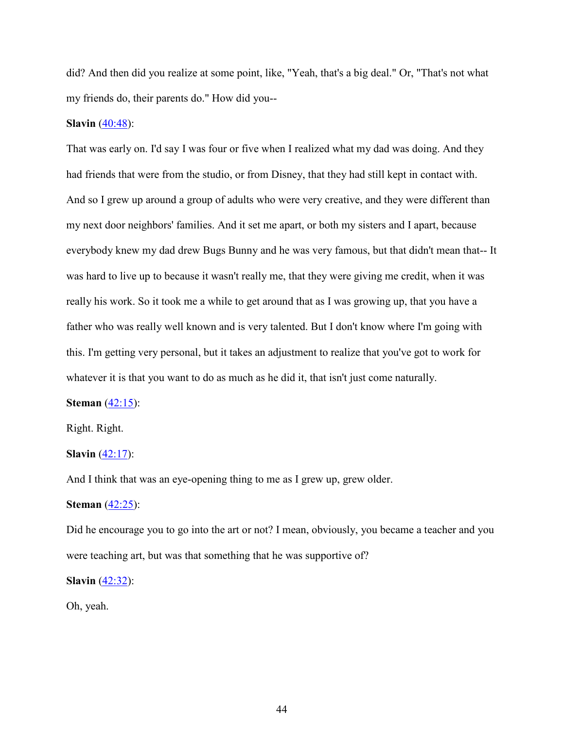did? And then did you realize at some point, like, "Yeah, that's a big deal." Or, "That's not what my friends do, their parents do." How did you--

## **Slavin** (40:48):

That was early on. I'd say I was four or five when I realized what my dad was doing. And they had friends that were from the studio, or from Disney, that they had still kept in contact with. And so I grew up around a group of adults who were very creative, and they were different than my next door neighbors' families. And it set me apart, or both my sisters and I apart, because everybody knew my dad drew Bugs Bunny and he was very famous, but that didn't mean that-- It was hard to live up to because it wasn't really me, that they were giving me credit, when it was really his work. So it took me a while to get around that as I was growing up, that you have a father who was really well known and is very talented. But I don't know where I'm going with this. I'm getting very personal, but it takes an adjustment to realize that you've got to work for whatever it is that you want to do as much as he did it, that isn't just come naturally.

#### **Steman** (42:15):

Right. Right.

## **Slavin** (42:17):

And I think that was an eye-opening thing to me as I grew up, grew older.

### **Steman** (42:25):

Did he encourage you to go into the art or not? I mean, obviously, you became a teacher and you were teaching art, but was that something that he was supportive of?

**Slavin** (42:32):

Oh, yeah.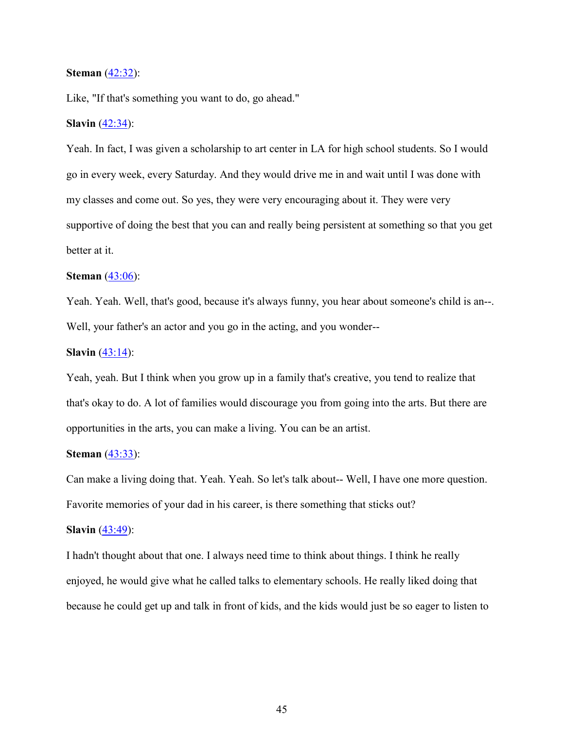### **Steman** (42:32):

Like, "If that's something you want to do, go ahead."

## **Slavin** (42:34):

Yeah. In fact, I was given a scholarship to art center in LA for high school students. So I would go in every week, every Saturday. And they would drive me in and wait until I was done with my classes and come out. So yes, they were very encouraging about it. They were very supportive of doing the best that you can and really being persistent at something so that you get better at it.

## **Steman** (43:06):

Yeah. Yeah. Well, that's good, because it's always funny, you hear about someone's child is an--. Well, your father's an actor and you go in the acting, and you wonder--

#### **Slavin** (43:14):

Yeah, yeah. But I think when you grow up in a family that's creative, you tend to realize that that's okay to do. A lot of families would discourage you from going into the arts. But there are opportunities in the arts, you can make a living. You can be an artist.

## **Steman** (43:33):

Can make a living doing that. Yeah. Yeah. So let's talk about-- Well, I have one more question. Favorite memories of your dad in his career, is there something that sticks out?

#### **Slavin** (43:49):

I hadn't thought about that one. I always need time to think about things. I think he really enjoyed, he would give what he called talks to elementary schools. He really liked doing that because he could get up and talk in front of kids, and the kids would just be so eager to listen to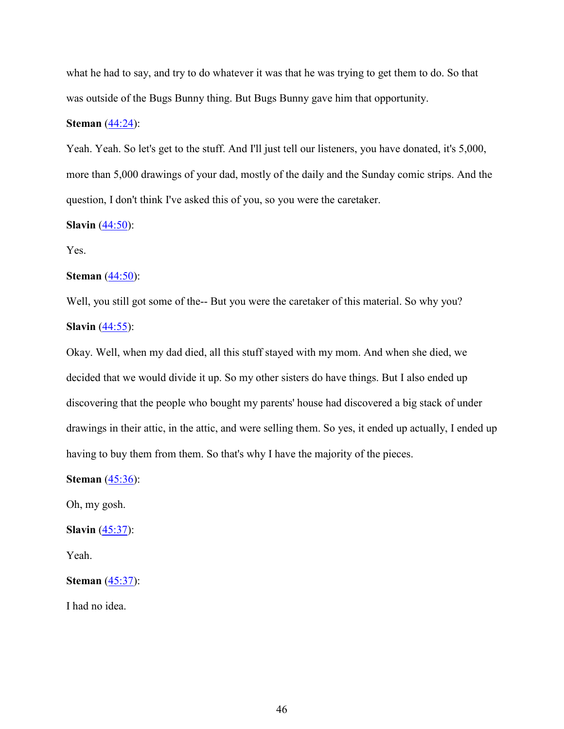what he had to say, and try to do whatever it was that he was trying to get them to do. So that was outside of the Bugs Bunny thing. But Bugs Bunny gave him that opportunity.

## **Steman** (44:24):

Yeah. Yeah. So let's get to the stuff. And I'll just tell our listeners, you have donated, it's 5,000, more than 5,000 drawings of your dad, mostly of the daily and the Sunday comic strips. And the question, I don't think I've asked this of you, so you were the caretaker.

## **Slavin** (44:50):

Yes.

## **Steman** (44:50):

Well, you still got some of the-- But you were the caretaker of this material. So why you? **Slavin** (44:55):

Okay. Well, when my dad died, all this stuff stayed with my mom. And when she died, we decided that we would divide it up. So my other sisters do have things. But I also ended up discovering that the people who bought my parents' house had discovered a big stack of under drawings in their attic, in the attic, and were selling them. So yes, it ended up actually, I ended up having to buy them from them. So that's why I have the majority of the pieces.

**Steman** (45:36):

Oh, my gosh.

**Slavin** (45:37):

Yeah.

**Steman** (45:37):

I had no idea.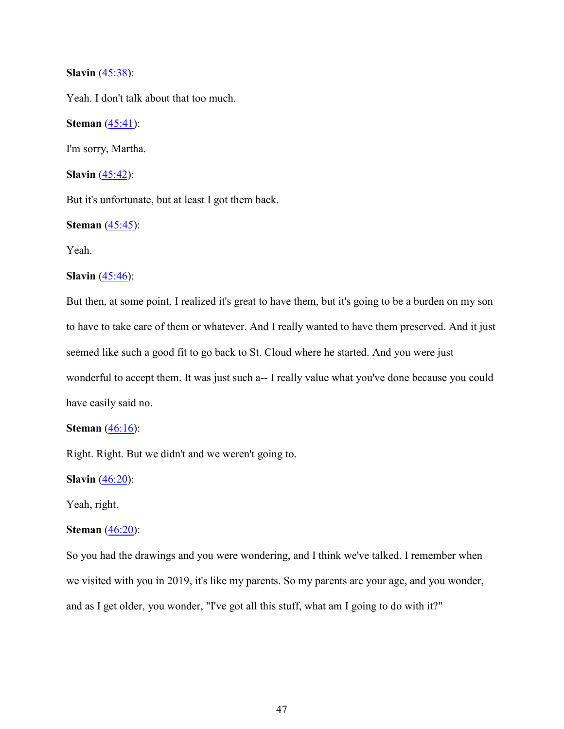## **Slavin** (45:38):

Yeah. I don't talk about that too much.

**Steman** (45:41):

I'm sorry, Martha.

**Slavin** (45:42):

But it's unfortunate, but at least I got them back.

## **Steman** (45:45):

Yeah.

## **Slavin** (45:46):

But then, at some point, I realized it's great to have them, but it's going to be a burden on my son to have to take care of them or whatever. And I really wanted to have them preserved. And it just seemed like such a good fit to go back to St. Cloud where he started. And you were just wonderful to accept them. It was just such a-- I really value what you've done because you could have easily said no.

## **Steman** (46:16):

Right. Right. But we didn't and we weren't going to.

**Slavin** (46:20):

Yeah, right.

## **Steman** (46:20):

So you had the drawings and you were wondering, and I think we've talked. I remember when we visited with you in 2019, it's like my parents. So my parents are your age, and you wonder, and as I get older, you wonder, "I've got all this stuff, what am I going to do with it?"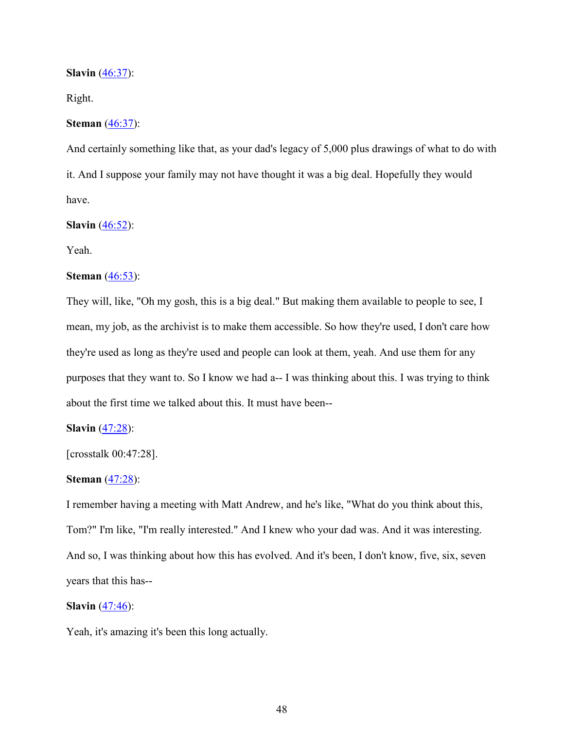**Slavin** (46:37):

Right.

## **Steman** (46:37):

And certainly something like that, as your dad's legacy of 5,000 plus drawings of what to do with it. And I suppose your family may not have thought it was a big deal. Hopefully they would have.

## **Slavin** (46:52):

Yeah.

## **Steman** (46:53):

They will, like, "Oh my gosh, this is a big deal." But making them available to people to see, I mean, my job, as the archivist is to make them accessible. So how they're used, I don't care how they're used as long as they're used and people can look at them, yeah. And use them for any purposes that they want to. So I know we had a-- I was thinking about this. I was trying to think about the first time we talked about this. It must have been--

## **Slavin** (47:28):

[crosstalk 00:47:28].

#### **Steman** (47:28):

I remember having a meeting with Matt Andrew, and he's like, "What do you think about this, Tom?" I'm like, "I'm really interested." And I knew who your dad was. And it was interesting. And so, I was thinking about how this has evolved. And it's been, I don't know, five, six, seven years that this has--

### **Slavin** (47:46):

Yeah, it's amazing it's been this long actually.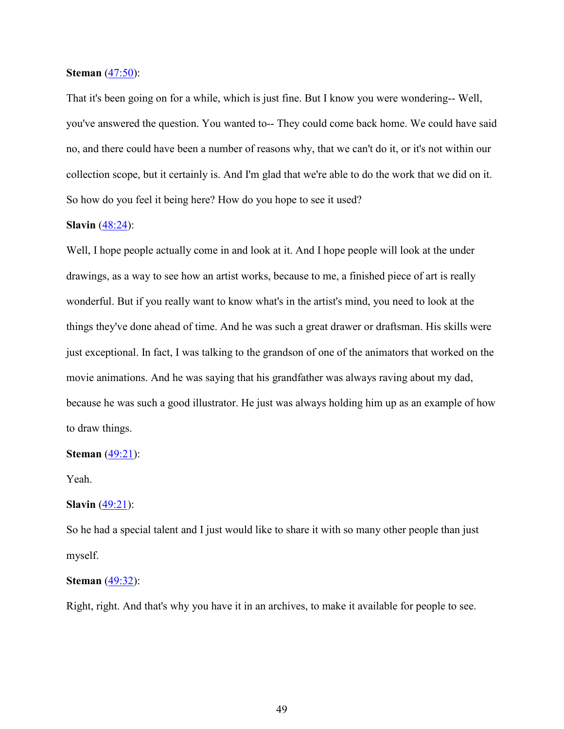### **Steman** (47:50):

That it's been going on for a while, which is just fine. But I know you were wondering-- Well, you've answered the question. You wanted to-- They could come back home. We could have said no, and there could have been a number of reasons why, that we can't do it, or it's not within our collection scope, but it certainly is. And I'm glad that we're able to do the work that we did on it. So how do you feel it being here? How do you hope to see it used?

## **Slavin** (48:24):

Well, I hope people actually come in and look at it. And I hope people will look at the under drawings, as a way to see how an artist works, because to me, a finished piece of art is really wonderful. But if you really want to know what's in the artist's mind, you need to look at the things they've done ahead of time. And he was such a great drawer or draftsman. His skills were just exceptional. In fact, I was talking to the grandson of one of the animators that worked on the movie animations. And he was saying that his grandfather was always raving about my dad, because he was such a good illustrator. He just was always holding him up as an example of how to draw things.

#### **Steman** (49:21):

Yeah.

## **Slavin** (49:21):

So he had a special talent and I just would like to share it with so many other people than just myself.

#### **Steman** (49:32):

Right, right. And that's why you have it in an archives, to make it available for people to see.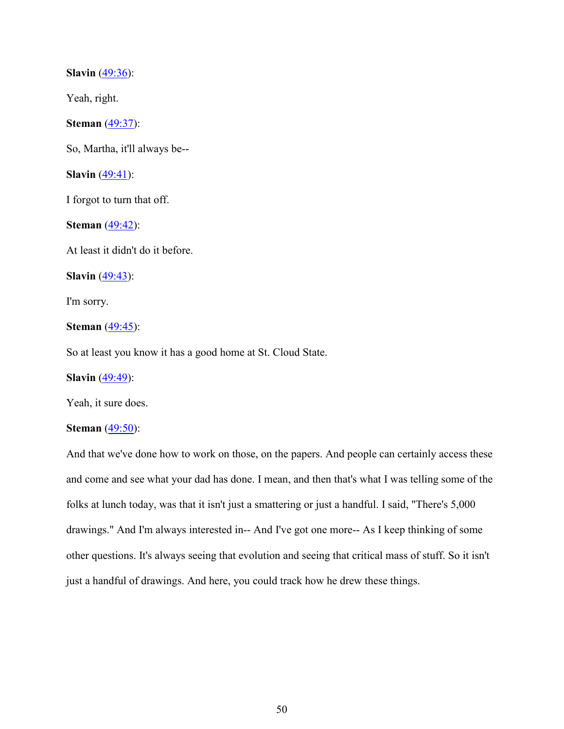**Slavin** (49:36):

Yeah, right.

**Steman** (49:37):

So, Martha, it'll always be--

**Slavin** (49:41):

I forgot to turn that off.

**Steman** (49:42):

At least it didn't do it before.

**Slavin** (49:43):

I'm sorry.

**Steman** (49:45):

So at least you know it has a good home at St. Cloud State.

**Slavin** (49:49):

Yeah, it sure does.

## **Steman** (49:50):

And that we've done how to work on those, on the papers. And people can certainly access these and come and see what your dad has done. I mean, and then that's what I was telling some of the folks at lunch today, was that it isn't just a smattering or just a handful. I said, "There's 5,000 drawings." And I'm always interested in-- And I've got one more-- As I keep thinking of some other questions. It's always seeing that evolution and seeing that critical mass of stuff. So it isn't just a handful of drawings. And here, you could track how he drew these things.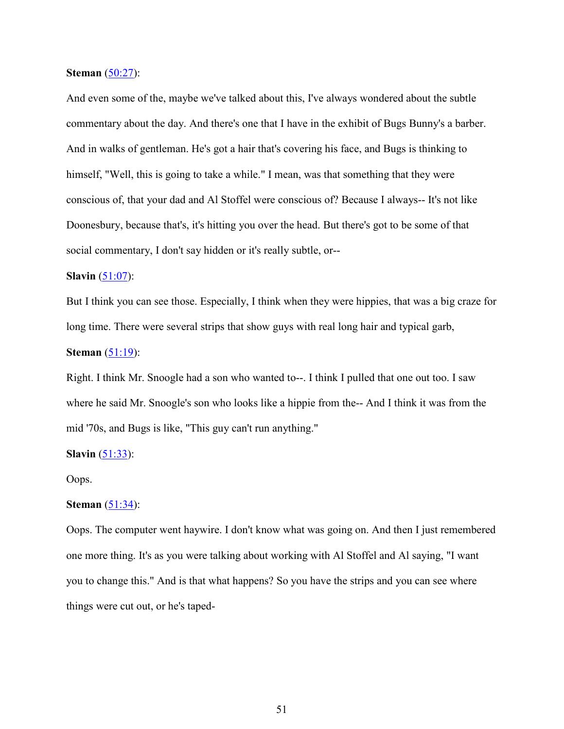**Steman** (50:27):

And even some of the, maybe we've talked about this, I've always wondered about the subtle commentary about the day. And there's one that I have in the exhibit of Bugs Bunny's a barber. And in walks of gentleman. He's got a hair that's covering his face, and Bugs is thinking to himself, "Well, this is going to take a while." I mean, was that something that they were conscious of, that your dad and Al Stoffel were conscious of? Because I always-- It's not like Doonesbury, because that's, it's hitting you over the head. But there's got to be some of that social commentary, I don't say hidden or it's really subtle, or--

## **Slavin** (51:07):

But I think you can see those. Especially, I think when they were hippies, that was a big craze for long time. There were several strips that show guys with real long hair and typical garb,

#### **Steman** (51:19):

Right. I think Mr. Snoogle had a son who wanted to--. I think I pulled that one out too. I saw where he said Mr. Snoogle's son who looks like a hippie from the-- And I think it was from the mid '70s, and Bugs is like, "This guy can't run anything."

#### **Slavin** (51:33):

Oops.

#### **Steman** (51:34):

Oops. The computer went haywire. I don't know what was going on. And then I just remembered one more thing. It's as you were talking about working with Al Stoffel and Al saying, "I want you to change this." And is that what happens? So you have the strips and you can see where things were cut out, or he's taped-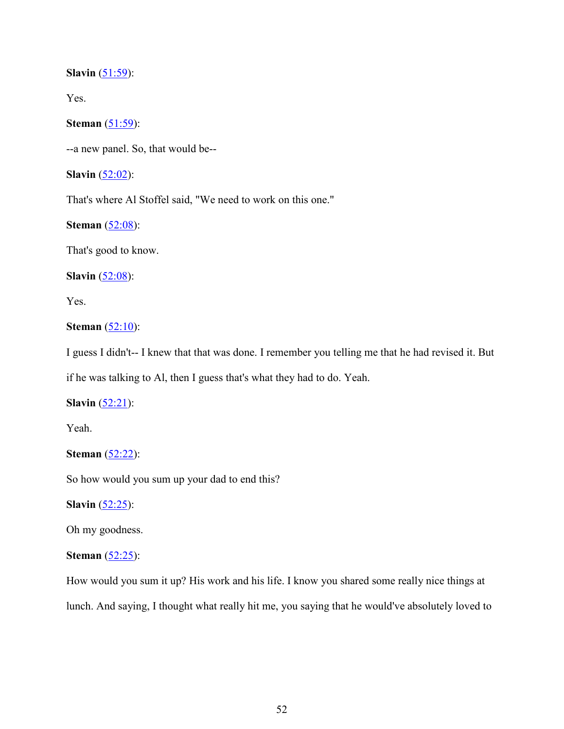## **Slavin** (51:59):

Yes.

# **Steman** (51:59):

--a new panel. So, that would be--

## **Slavin** (52:02):

That's where Al Stoffel said, "We need to work on this one."

## **Steman** (52:08):

That's good to know.

## **Slavin** (52:08):

Yes.

## **Steman** (52:10):

I guess I didn't-- I knew that that was done. I remember you telling me that he had revised it. But

if he was talking to Al, then I guess that's what they had to do. Yeah.

## **Slavin** (52:21):

Yeah.

## **Steman** (52:22):

So how would you sum up your dad to end this?

**Slavin** (52:25):

## Oh my goodness.

## **Steman** (52:25):

How would you sum it up? His work and his life. I know you shared some really nice things at lunch. And saying, I thought what really hit me, you saying that he would've absolutely loved to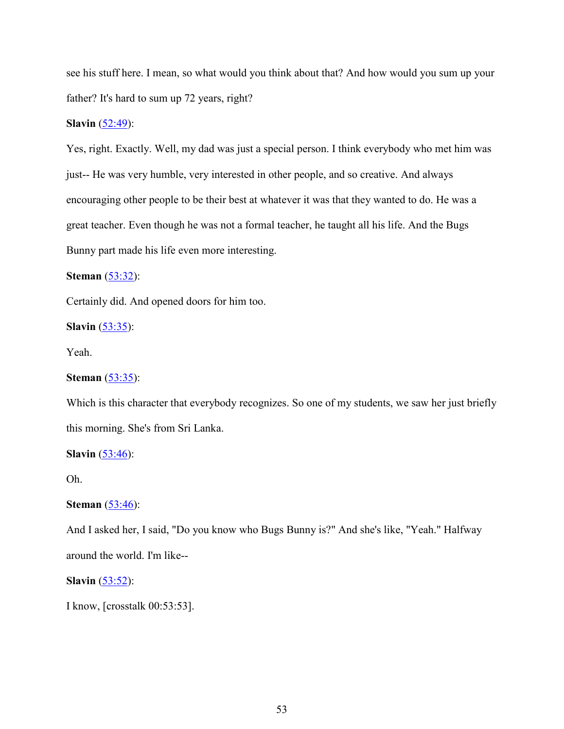see his stuff here. I mean, so what would you think about that? And how would you sum up your father? It's hard to sum up 72 years, right?

## **Slavin** (52:49):

Yes, right. Exactly. Well, my dad was just a special person. I think everybody who met him was just-- He was very humble, very interested in other people, and so creative. And always encouraging other people to be their best at whatever it was that they wanted to do. He was a great teacher. Even though he was not a formal teacher, he taught all his life. And the Bugs Bunny part made his life even more interesting.

**Steman** (53:32):

Certainly did. And opened doors for him too.

**Slavin** (53:35):

Yeah.

**Steman** (53:35):

Which is this character that everybody recognizes. So one of my students, we saw her just briefly this morning. She's from Sri Lanka.

**Slavin** (53:46):

Oh.

**Steman** (53:46):

And I asked her, I said, "Do you know who Bugs Bunny is?" And she's like, "Yeah." Halfway around the world. I'm like--

**Slavin** (53:52):

I know, [crosstalk 00:53:53].